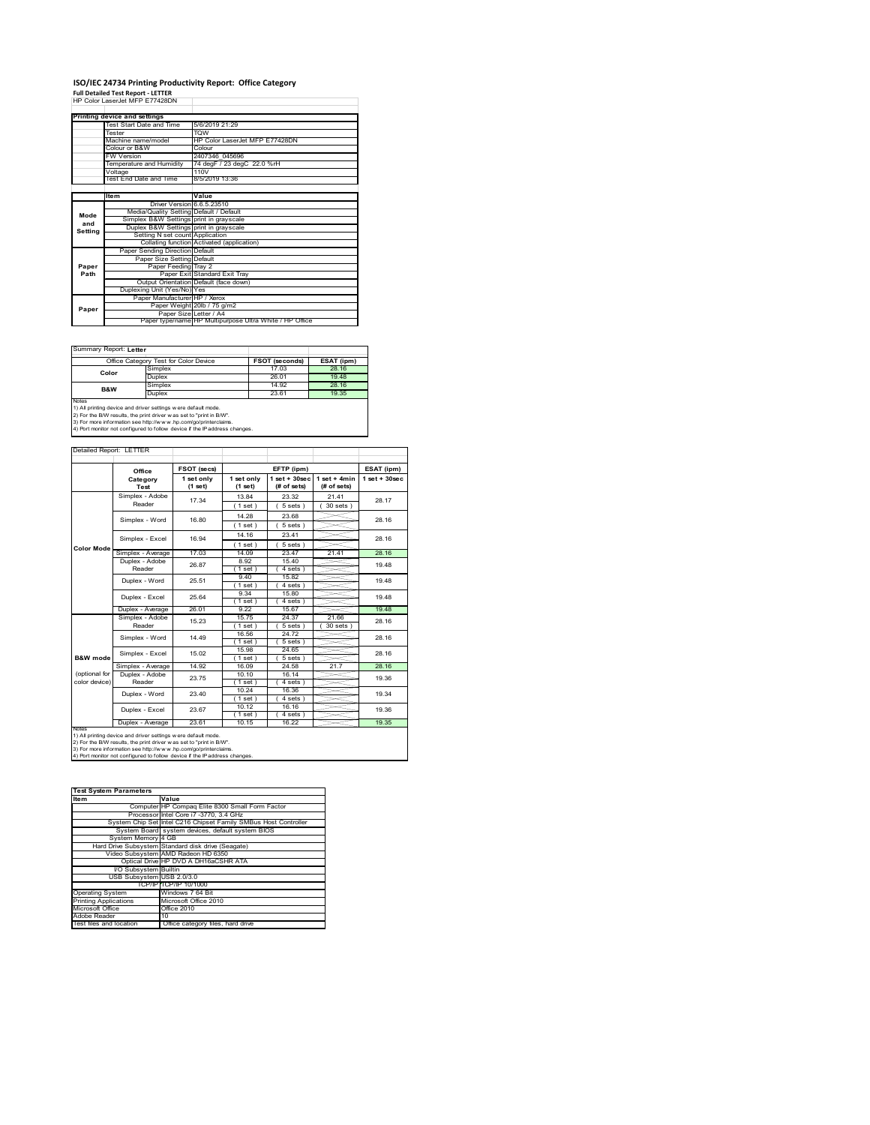## **ISO/IEC 24734 Printing Productivity Report: Office Category Full Detailed Test Report ‐ LETTER** HP Color LaserJet MFP E77428DN

|         | Printing device and settings            |                                                         |
|---------|-----------------------------------------|---------------------------------------------------------|
|         | Test Start Date and Time                | 5/6/2019 21:29                                          |
|         | Tester                                  | <b>TOW</b>                                              |
|         | Machine name/model                      | HP Color LaserJet MFP E77428DN                          |
|         | Colour or B&W                           | Colour                                                  |
|         | <b>FW Version</b>                       | 2407346 045696                                          |
|         | Temperature and Humidity                | 74 degF / 23 degC 22.0 %rH                              |
|         | Voltage                                 | 110V                                                    |
|         | Test End Date and Time                  | 8/5/2019 13:36                                          |
|         |                                         |                                                         |
|         | Item                                    | Value                                                   |
|         | Driver Version 6.6.5.23510              |                                                         |
| Mode    | Media/Quality Setting Default / Default |                                                         |
| and     | Simplex B&W Settings print in grayscale |                                                         |
| Setting | Duplex B&W Settings print in grayscale  |                                                         |
|         | Setting N set count Application         |                                                         |
|         |                                         | Collating function Activated (application)              |
|         | Paper Sending Direction Default         |                                                         |
|         | Paper Size Setting Default              |                                                         |
| Paper   | Paper Feeding Tray 2                    |                                                         |
| Path    |                                         | Paper Exit Standard Exit Tray                           |
|         |                                         | Output Orientation Default (face down)                  |
|         | Duplexing Unit (Yes/No) Yes             |                                                         |
|         | Paper Manufacturer HP / Xerox           |                                                         |
| Paper   |                                         | Paper Weight 20lb / 75 g/m2                             |
|         | Paper Size Letter / A4                  |                                                         |
|         |                                         | Paper type/name HP Multipurpose Ultra White / HP Office |

Ï

٦

Summary Report: **Letter**

| Office Category Test for Color Device                                                                                                                                                                                                                                                           |         | <b>FSOT (seconds)</b> | ESAT (ipm) |  |
|-------------------------------------------------------------------------------------------------------------------------------------------------------------------------------------------------------------------------------------------------------------------------------------------------|---------|-----------------------|------------|--|
| Color                                                                                                                                                                                                                                                                                           | Simplex | 17.03                 | 28.16      |  |
|                                                                                                                                                                                                                                                                                                 | Duplex  | 26.01                 | 19.48      |  |
|                                                                                                                                                                                                                                                                                                 | Simplex | 14.92                 | 28.16      |  |
| <b>B&amp;W</b>                                                                                                                                                                                                                                                                                  | Duplex  | 23.61                 | 19.35      |  |
| Notes<br>1) All printing device and driver settings w ere default mode.<br>2) For the B/W results, the print driver was set to "print in B/W".<br>3) For more information see http://www.hp.com/go/printerclaims.<br>4) Port monitor not configured to follow device if the IP address changes. |         |                       |            |  |

| Detailed Report: LETTER        |                                   |                       |                       |                                  |                               |                    |
|--------------------------------|-----------------------------------|-----------------------|-----------------------|----------------------------------|-------------------------------|--------------------|
|                                | Office                            | FSOT (secs)           |                       | EFTP (ipm)                       |                               | ESAT (ipm)         |
|                                | Category<br>Test                  | 1 set only<br>(1 set) | 1 set only<br>(1 set) | $1$ set $+30$ sec<br>(# of sets) | $1$ set + 4min<br>(# of sets) | $1$ set + $30$ sec |
|                                | Simplex - Adobe<br>Reader         | 17.34                 | 13.84<br>(1 set)      | 23.32<br>$5 sets$ )              | 21 41<br>$30$ sets $)$        | 28.17              |
|                                | Simplex - Word                    | 16.80                 | 14.28<br>(1 set)      | 23.68<br>$5 sets$ )              |                               | 28.16              |
| <b>Color Mode</b>              | Simplex - Excel                   | 16.94                 | 14.16<br>(1 set)      | 23.41<br>$5 sets$ )              |                               | 28.16              |
|                                | Simplex - Average                 | 17.03                 | 14.09                 | 23.47                            | 21.41                         | 28.16              |
|                                | Duplex - Adobe<br>26.87<br>Reader |                       | 8.92<br>$1$ set)      | 15.40<br>4 sets)                 |                               | 19 48              |
|                                | Duplex - Word                     | 25.51                 | 9.40<br>$1$ set)      | 15.82<br>4 sets)                 |                               | 19 48              |
|                                | Duplex - Excel                    | 25.64                 | 9.34<br>$1$ set)      | 15.80<br>4 sets                  |                               | 19 48              |
|                                | Duplex - Average                  | 26.01                 | 9 22                  | 15.67                            |                               | 19.48              |
|                                | Simplex - Adobe<br>Reader         | 15.23                 | 15.75<br>$1$ set)     | 24.37<br>5 sets)                 | 21.66<br>$30$ sets $)$        | 28.16              |
|                                | Simplex - Word                    | 14 49                 | 16.56<br>(1 set)      | 2472<br>$5 sets$ )               |                               | 28.16              |
| B&W mode                       | Simplex - Excel                   | 15.02                 | 15.98<br>$1$ set)     | 24 65<br>$5 sets$ )              |                               | 28.16              |
|                                | Simplex - Average                 | 14.92                 | 16.09                 | 24.58                            | 21.7                          | 28.16              |
| (optional for<br>color device) | Duplex - Adobe<br>Reader          | 23.75                 | 10.10<br>$1$ set $1$  | 16.14<br>$4 sets$ )              |                               | 19.36              |
|                                | Duplex - Word                     | 23.40                 | 10.24<br>(1 set)      | 16.36<br>4 sets)                 |                               | 19.34              |
|                                | Duplex - Excel                    | 23.67                 | 10.12<br>$1$ set)     | 16.16<br>4 sets)                 |                               | 19.36              |
| <b>NOTAS</b>                   | Duplex - Average                  | 23.61                 | 10.15                 | 16 22                            |                               | 19.35              |

notes<br>1) All printing device and driver settings were default mode.<br>2) For the B/W results, the print driver was set to "print in B/W".<br>3) For more information see http://www.hp.com/go/printerclaims.<br>4) Por morator not con

| <b>Test System Parameters</b> |                                                                 |  |  |  |  |
|-------------------------------|-----------------------------------------------------------------|--|--|--|--|
| <b>Item</b>                   | Value                                                           |  |  |  |  |
|                               | Computer HP Compag Elite 8300 Small Form Factor                 |  |  |  |  |
|                               | Processor Intel Core i7 -3770, 3.4 GHz                          |  |  |  |  |
|                               | System Chip Set Intel C216 Chipset Family SMBus Host Controller |  |  |  |  |
|                               | System Board system devices, default system BIOS                |  |  |  |  |
| System Memory 4 GB            |                                                                 |  |  |  |  |
|                               | Hard Drive Subsystem Standard disk drive (Seagate)              |  |  |  |  |
|                               | Video Subsystem AMD Radeon HD 6350                              |  |  |  |  |
|                               | Optical Drive HP DVD A DH16aCSHR ATA                            |  |  |  |  |
| I/O Subsystem Builtin         |                                                                 |  |  |  |  |
| USB Subsystem USB 2.0/3.0     |                                                                 |  |  |  |  |
|                               | TCP/IPITCP/IP 10/1000                                           |  |  |  |  |
| <b>Operating System</b>       | Windows 7 64 Bit                                                |  |  |  |  |
| <b>Printing Applications</b>  | Microsoft Office 2010                                           |  |  |  |  |
| Microsoft Office              | Office 2010                                                     |  |  |  |  |
| Adobe Reader                  | 10                                                              |  |  |  |  |
| Test files and location       | Office category files, hard drive                               |  |  |  |  |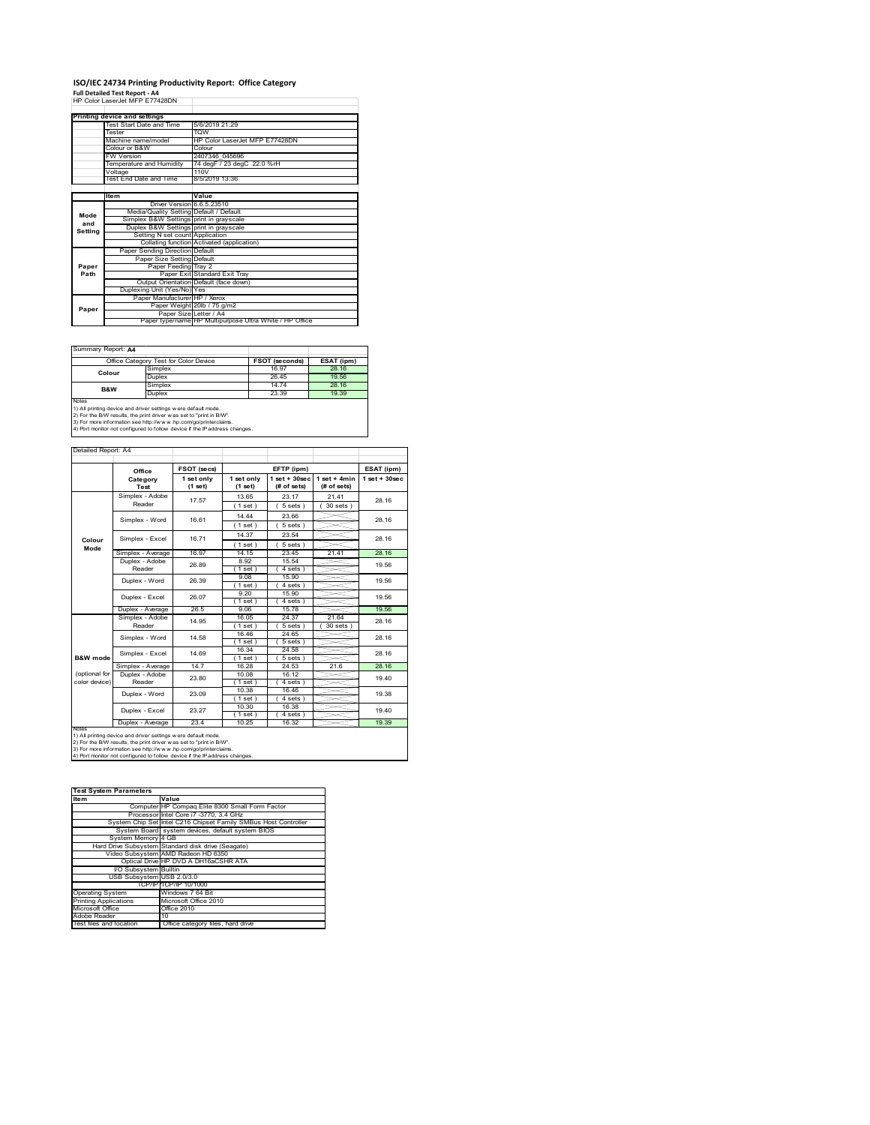## **ISO/IEC 24734 Printing Productivity Report: Office Category**

**Full Detailed Test Report ‐ A4** HP Color LaserJet MFP E77428DN

|         | i uli betalled Test Report - A+<br>HP Color Laser let MFP F77428DN |                                                         |  |
|---------|--------------------------------------------------------------------|---------------------------------------------------------|--|
|         |                                                                    |                                                         |  |
|         |                                                                    |                                                         |  |
|         | Printing device and settings                                       |                                                         |  |
|         | Test Start Date and Time                                           | 5/6/2019 21:29                                          |  |
|         | Tester                                                             | <b>TOW</b>                                              |  |
|         | Machine name/model                                                 | HP Color LaserJet MFP E77428DN                          |  |
|         | Colour or B&W                                                      | Colour                                                  |  |
|         | <b>FW Version</b>                                                  | 2407346 045696                                          |  |
|         | Temperature and Humidity                                           | 74 degF / 23 degC 22.0 %rH                              |  |
|         | Voltage                                                            | 110V                                                    |  |
|         | Test End Date and Time                                             | 8/5/2019 13:36                                          |  |
|         |                                                                    |                                                         |  |
|         | Item                                                               | Value                                                   |  |
|         | Driver Version 6.6.5.23510                                         |                                                         |  |
| Mode    | Media/Quality Setting Default / Default                            |                                                         |  |
| and     | Simplex B&W Settings print in grayscale                            |                                                         |  |
| Setting | Duplex B&W Settings print in grayscale                             |                                                         |  |
|         | Setting N set count Application                                    |                                                         |  |
|         |                                                                    | Collating function Activated (application)              |  |
|         | Paper Sending Direction Default                                    |                                                         |  |
|         | Paper Size Setting Default                                         |                                                         |  |
| Paper   | Paper Feeding Tray 2                                               |                                                         |  |
| Path    |                                                                    | Paper Exit Standard Exit Tray                           |  |
|         |                                                                    | Output Orientation Default (face down)                  |  |
|         | Duplexing Unit (Yes/No) Yes                                        |                                                         |  |
|         | Paper Manufacturer HP / Xerox                                      |                                                         |  |
| Paper   |                                                                    | Paper Weight 20lb / 75 g/m2                             |  |
|         | Paper Size Letter / A4                                             |                                                         |  |
|         |                                                                    | Paper type/name HP Multipurpose Ultra White / HP Office |  |

Summary Report: **A4**

| Office Category Test for Color Device                                                                                                          |         | <b>FSOT (seconds)</b> | ESAT (ipm) |  |
|------------------------------------------------------------------------------------------------------------------------------------------------|---------|-----------------------|------------|--|
| Colour                                                                                                                                         | Simplex | 16.97                 | 28.16      |  |
|                                                                                                                                                | Duplex  | 26.45                 | 19.56      |  |
|                                                                                                                                                | Simplex | 14 74                 | 28.16      |  |
| B&W                                                                                                                                            | Duplex  | 23.39                 | 19.39      |  |
| Notes<br>1) All printing device and driver settings w ere default mode.<br>2) For the B/W results, the print driver was set to "print in B/W". |         |                       |            |  |

| Detailed Report: A4            |                            |                         |                       |                                   |                               |                   |
|--------------------------------|----------------------------|-------------------------|-----------------------|-----------------------------------|-------------------------------|-------------------|
|                                |                            | FSOT (secs)             |                       | EFTP (ipm)                        |                               | ESAT (ipm)        |
|                                | Office<br>Category<br>Test | 1 set only<br>$(1$ set) | 1 set only<br>(1 set) | $1$ set + $30$ sec<br>(# of sets) | $1$ set + 4min<br>(# of sets) | $1$ set $+30$ sec |
|                                | Simplex - Adobe<br>Reader  | 17.57                   | 13.65<br>(1 set)      | 23.17<br>5 sets                   | 21.41<br>30 sets )            | 28.16             |
|                                | Simplex - Word             | 16.61                   | 14 44<br>(1 set)      | 23.66<br>$5 sets$ )               |                               | 28.16             |
| Colour                         | Simplex - Excel            | 16.71                   | 14.37<br>(1 set)      | 23.54<br>$5 sets$ )               |                               | 28.16             |
| Mode                           | Simplex - Average          | 16.97                   | 14.15                 | 23.45                             | 21.41                         | 28.16             |
|                                | Duplex - Adobe<br>Reader   | 26.89                   | 8.92<br>$1$ set)      | 15.54<br>4 sets)                  |                               | 19.56             |
|                                | Duplex - Word              | 26.39                   | 9.08<br>1 set         | 15.90<br>4 sets                   |                               | 19.56             |
|                                | Duplex - Excel             | 26.07                   | 9,20<br>(1 set)       | 15.90<br>4 sets)                  |                               | 19.56             |
|                                | Duplex - Average           | 26.5                    | 9.06                  | 15.78                             |                               | 19.56             |
|                                | Simplex - Adobe<br>Reader  | 14.95                   | 16.05<br>(1 set       | 24.37<br>5 sets)                  | 21.64<br>30 sets              | 28.16             |
|                                | Simplex - Word             | 14.58                   | 16.46<br>(1 set)      | 24.65<br>5 sets)                  |                               | 28.16             |
| B&W mode                       | Simplex - Excel            | 14.69                   | 16.34<br>(1 set)      | 24.58<br>$5 sets$ )               |                               | 28.16             |
|                                | Simplex - Average          | 147                     | 16.28                 | 24.53                             | 21.6                          | 28.16             |
| (optional for<br>color device) | Duplex - Adobe<br>Reader   | 23.80                   | 10.08<br>(1 set)      | 16.12<br>$4 sets$ )               |                               | 19.40             |
|                                | Duplex - Word              | 23.09                   | 10.38<br>(1 set)      | 16.46<br>4 sets)                  |                               | 19.38             |
|                                | Duplex - Excel             | 23 27                   | 10.30<br>(1 set)      | 16.38<br>4 sets)                  |                               | 19.40             |
|                                | Duplex - Average           | 23.4                    | 10.25                 | 16.32                             |                               | 19.39             |

| <b>Test System Parameters</b> |                                                                 |  |  |
|-------------------------------|-----------------------------------------------------------------|--|--|
| <b>Item</b>                   | Value                                                           |  |  |
|                               | Computer HP Compaq Elite 8300 Small Form Factor                 |  |  |
|                               | Processor Intel Core i7 -3770, 3.4 GHz                          |  |  |
|                               | System Chip Set Intel C216 Chipset Family SMBus Host Controller |  |  |
|                               | System Board system devices, default system BIOS                |  |  |
| System Memory 4 GB            |                                                                 |  |  |
|                               | Hard Drive Subsystem Standard disk drive (Seagate)              |  |  |
|                               | Video Subsystem AMD Radeon HD 6350                              |  |  |
|                               | Optical Drive HP DVD A DH16aCSHR ATA                            |  |  |
| I/O Subsystem Builtin         |                                                                 |  |  |
| USB Subsystem USB 2.0/3.0     |                                                                 |  |  |
|                               | TCP/IPITCP/IP 10/1000                                           |  |  |
| <b>Operating System</b>       | Windows 7 64 Bit                                                |  |  |
| <b>Printing Applications</b>  | Microsoft Office 2010                                           |  |  |
| Microsoft Office              | Office 2010                                                     |  |  |
| Adobe Reader                  | 10                                                              |  |  |
| Test files and location       | Office category files, hard drive                               |  |  |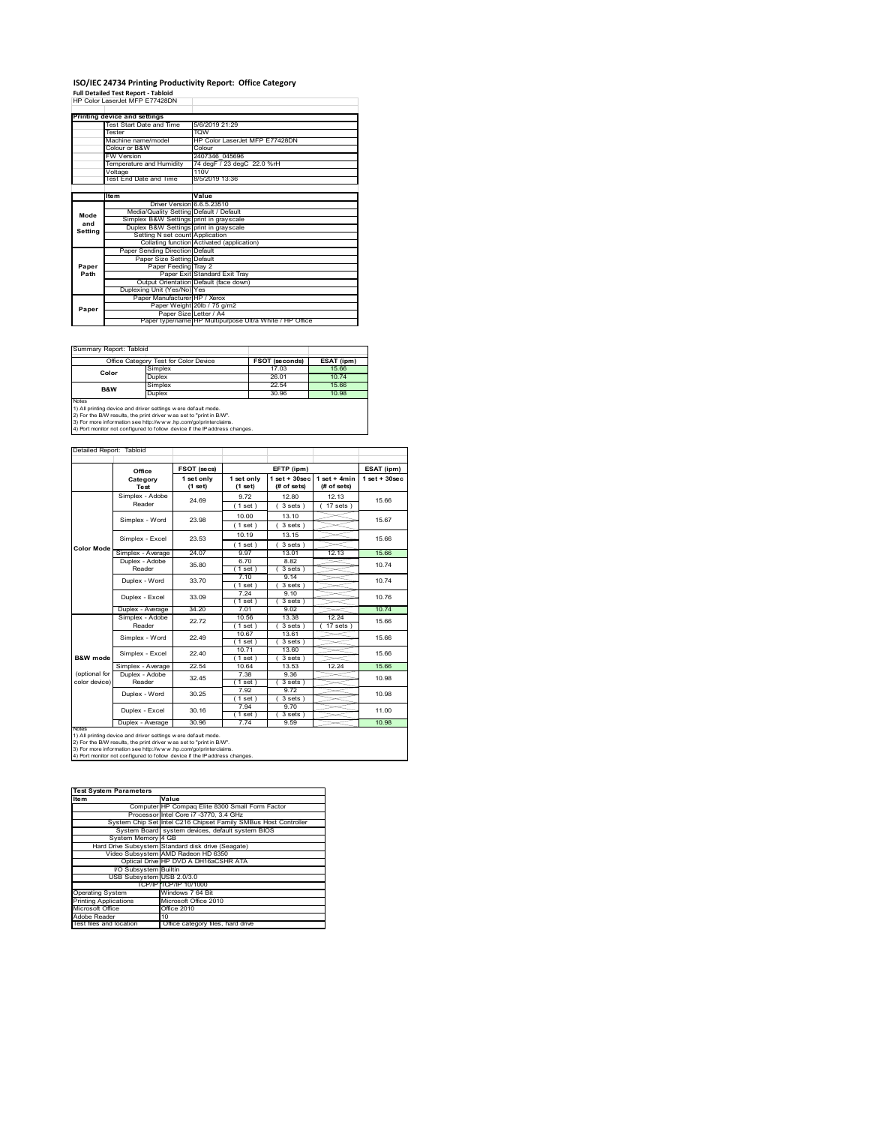## **ISO/IEC 24734 Printing Productivity Report: Office Category<br>Full Detailed Test Report - Tabloid<br>HP Color LaserJet MFP E77428DN**

|         | Printing device and settings            |                                                         |  |
|---------|-----------------------------------------|---------------------------------------------------------|--|
|         | Test Start Date and Time                | 5/6/2019 21:29                                          |  |
|         | Tester                                  | <b>TOW</b>                                              |  |
|         | Machine name/model                      | HP Color LaserJet MFP E77428DN                          |  |
|         | Colour or B&W                           | Colour                                                  |  |
|         | <b>FW Version</b>                       | 2407346 045696                                          |  |
|         | Temperature and Humidity                | 74 degF / 23 degC 22.0 %rH                              |  |
|         | Voltage                                 | 110V                                                    |  |
|         | Test End Date and Time                  | 8/5/2019 13:36                                          |  |
|         |                                         |                                                         |  |
|         | ltem                                    | Value                                                   |  |
|         | Driver Version 6.6.5.23510              |                                                         |  |
| Mode    | Media/Quality Setting Default / Default |                                                         |  |
| and     | Simplex B&W Settings print in grayscale |                                                         |  |
| Setting | Duplex B&W Settings print in grayscale  |                                                         |  |
|         | Setting N set count Application         |                                                         |  |
|         |                                         | Collating function Activated (application)              |  |
|         | Paper Sending Direction Default         |                                                         |  |
|         | Paper Size Setting Default              |                                                         |  |
| Paper   | Paper Feeding Tray 2                    |                                                         |  |
| Path    |                                         | Paper Exit Standard Exit Tray                           |  |
|         |                                         | Output Orientation Default (face down)                  |  |
|         | Duplexing Unit (Yes/No) Yes             |                                                         |  |
|         | Paper Manufacturer HP / Xerox           |                                                         |  |
| Paper   |                                         | Paper Weight 20lb / 75 g/m2                             |  |
|         | Paper Size Letter / A4                  |                                                         |  |
|         |                                         | Paper type/name HP Multipurpose Ultra White / HP Office |  |

Ï

 $\overline{\phantom{a}}$ 

Summary Report: Tabloi

| ------------------------------                                                                                                                        |                                       |                |            |  |  |
|-------------------------------------------------------------------------------------------------------------------------------------------------------|---------------------------------------|----------------|------------|--|--|
|                                                                                                                                                       | Office Category Test for Color Device | FSOT (seconds) | ESAT (ipm) |  |  |
| Color                                                                                                                                                 | Simplex                               | 17.03          | 15.66      |  |  |
|                                                                                                                                                       | Duplex                                | 26.01          | 10.74      |  |  |
| B&W                                                                                                                                                   | Simplex                               | 22.54          | 15.66      |  |  |
|                                                                                                                                                       | Duplex                                | 30.96          | 10.98      |  |  |
| <b>Notes</b><br>1) All printing device and driver settings w ere default mode.<br>2) For the B/W results, the print driver was set to "print in B/W". |                                       |                |            |  |  |

2) For the B/W results, the print driver w as set to "print in B/W".<br>3) For more information see http://w w w .hp.com/go/printerclaims.<br>4) Port monitor not configured to follow device if the IP address changes.

|                                                                                                                                                                                                                                                                                                        | Office            | FSOT (secs)             |                       | EFTP (ipm)                       |                               | ESAT (ipm)         |
|--------------------------------------------------------------------------------------------------------------------------------------------------------------------------------------------------------------------------------------------------------------------------------------------------------|-------------------|-------------------------|-----------------------|----------------------------------|-------------------------------|--------------------|
|                                                                                                                                                                                                                                                                                                        | Category<br>Test  | 1 set only<br>$(1$ set) | 1 set only<br>(1 set) | $1$ set $+30$ sec<br>(# of sets) | $1$ set + 4min<br>(# of sets) | $1$ set + $30$ sec |
|                                                                                                                                                                                                                                                                                                        | Simplex - Adobe   | 24.69                   | 9.72                  | 12.80                            | 12.13                         | 15.66              |
|                                                                                                                                                                                                                                                                                                        | Reader            |                         | (1 set)               | 3 sets                           | $17$ sets $)$                 |                    |
|                                                                                                                                                                                                                                                                                                        | Simplex - Word    | 23.98                   | 10.00                 | 13.10                            |                               | 15.67              |
|                                                                                                                                                                                                                                                                                                        |                   |                         | (1 set)               | 3 sets)                          |                               |                    |
|                                                                                                                                                                                                                                                                                                        | Simplex - Excel   | 23.53                   | 10.19                 | 13.15                            |                               | 15.66              |
| <b>Color Mode</b>                                                                                                                                                                                                                                                                                      |                   |                         | (1 set)               | 3 sets                           |                               |                    |
|                                                                                                                                                                                                                                                                                                        | Simplex - Average | 24.07                   | 9.97                  | 13.01                            | 12.13                         | 15.66              |
|                                                                                                                                                                                                                                                                                                        | Duplex - Adobe    | 35.80                   | 6.70                  | 8.82                             |                               | 10.74              |
|                                                                                                                                                                                                                                                                                                        | Reader            |                         | $1$ set)              | 3 sets)                          |                               |                    |
|                                                                                                                                                                                                                                                                                                        | Duplex - Word     | 33 70                   | 7.10                  | 9.14                             |                               | 1074               |
|                                                                                                                                                                                                                                                                                                        |                   |                         | (1 set)               | 3 sets                           |                               |                    |
|                                                                                                                                                                                                                                                                                                        | Duplex - Excel    | 33.09                   | 7 24<br>$1$ set)      | 9.10<br>3 sets)                  |                               | 10.76              |
|                                                                                                                                                                                                                                                                                                        | Duplex - Average  | 34.20                   | 7.01                  | 9.02                             |                               | 10.74              |
|                                                                                                                                                                                                                                                                                                        | Simplex - Adobe   |                         | 10.56                 | 13.38                            | 12.24                         |                    |
|                                                                                                                                                                                                                                                                                                        | Reader            | 22.72                   | $1$ set $)$           | 3 sets                           | 17 sets                       | 15.66              |
|                                                                                                                                                                                                                                                                                                        |                   |                         | 10.67                 | 13.61                            |                               |                    |
|                                                                                                                                                                                                                                                                                                        | Simplex - Word    | 22.49                   | (1 set)               | 3 sets                           |                               | 15.66              |
|                                                                                                                                                                                                                                                                                                        |                   | 22 40                   | 10.71                 | 13.60                            |                               | 15.66              |
| B&W mode                                                                                                                                                                                                                                                                                               | Simplex - Excel   |                         | (1 set)               | 3 sets)                          |                               |                    |
|                                                                                                                                                                                                                                                                                                        | Simplex - Average | 22.54                   | 10.64                 | 13.53                            | 12.24                         | 15.66              |
| (optional for                                                                                                                                                                                                                                                                                          | Duplex - Adobe    | 32.45                   | 7.38                  | 9.36                             |                               | 10.98              |
| color device)                                                                                                                                                                                                                                                                                          | Reader            |                         | (1 set)               | 3 sets)                          |                               |                    |
|                                                                                                                                                                                                                                                                                                        | Duplex - Word     | 30.25                   | 7.92                  | 9.72                             |                               | 10.98              |
|                                                                                                                                                                                                                                                                                                        |                   |                         | (1 set)               | $3 sets$ )                       |                               |                    |
|                                                                                                                                                                                                                                                                                                        | Duplex - Excel    | 30.16                   | 7.94                  | 970                              |                               | 11.00              |
|                                                                                                                                                                                                                                                                                                        |                   |                         |                       |                                  |                               |                    |
|                                                                                                                                                                                                                                                                                                        |                   |                         |                       |                                  |                               |                    |
| 3 sets)<br>$1$ set)<br>30.96<br>7.74<br>10.98<br>Duplex - Average<br>9.59<br><b>NOIRS</b><br>1) All printing device and driver settings w ere default mode.<br>2) For the B/W results, the print driver w as set to "print in B/W".<br>3) For more information see http://www.hp.com/go/printerclaims. |                   |                         |                       |                                  |                               |                    |

| <b>Test System Parameters</b> |                                                                 |  |  |
|-------------------------------|-----------------------------------------------------------------|--|--|
| <b>Item</b>                   | Value                                                           |  |  |
|                               | Computer HP Compag Elite 8300 Small Form Factor                 |  |  |
|                               | Processor Intel Core i7 -3770, 3.4 GHz                          |  |  |
|                               | System Chip Set Intel C216 Chipset Family SMBus Host Controller |  |  |
|                               | System Board system devices, default system BIOS                |  |  |
| System Memory 4 GB            |                                                                 |  |  |
|                               | Hard Drive Subsystem Standard disk drive (Seagate)              |  |  |
|                               | Video Subsystem AMD Radeon HD 6350                              |  |  |
|                               | Optical Drive HP DVD A DH16aCSHR ATA                            |  |  |
| I/O Subsystem Builtin         |                                                                 |  |  |
| USB Subsystem USB 2.0/3.0     |                                                                 |  |  |
|                               | TCP/IPITCP/IP 10/1000                                           |  |  |
| <b>Operating System</b>       | Windows 7 64 Bit                                                |  |  |
| <b>Printing Applications</b>  | Microsoft Office 2010                                           |  |  |
| Microsoft Office              | Office 2010                                                     |  |  |
| Adobe Reader                  | 10                                                              |  |  |
| Test files and location       | Office category files, hard drive                               |  |  |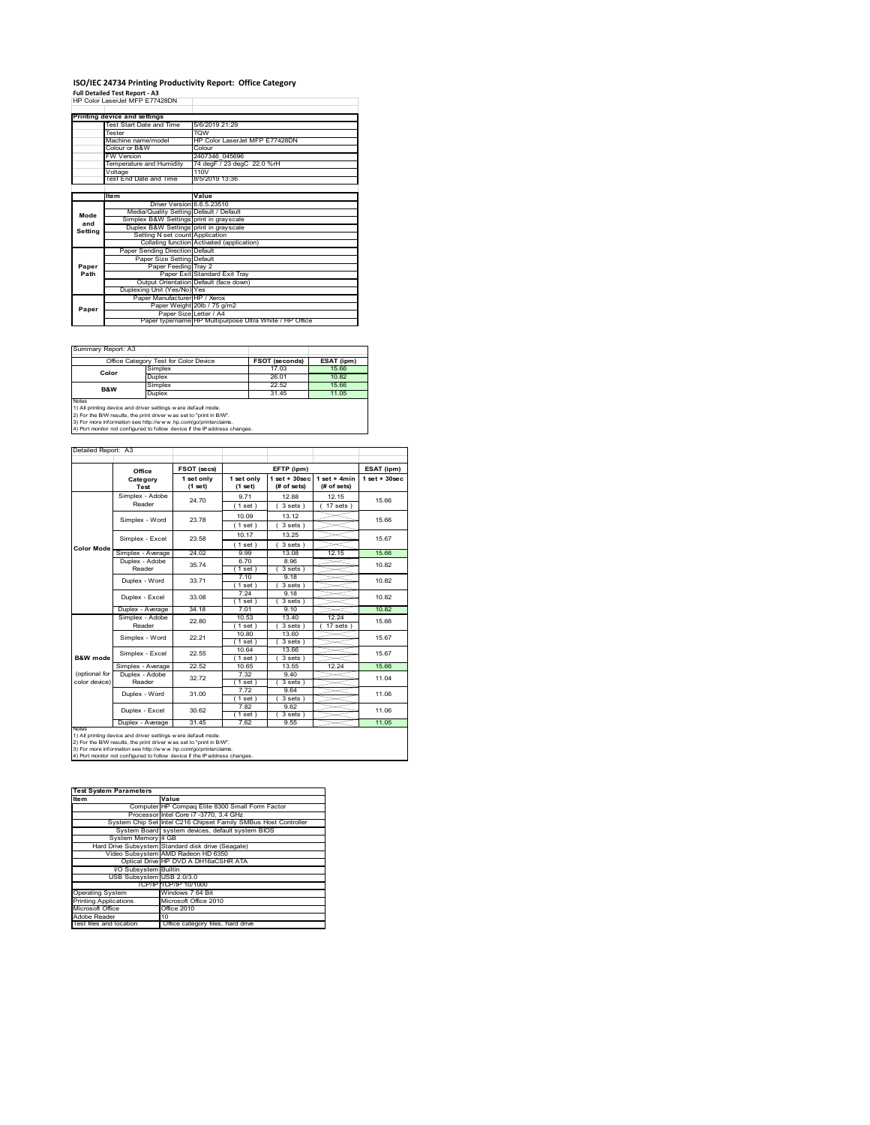## **ISO/IEC 24734 Printing Productivity Report: Office Category**

**Full Detailed Test Report ‐ A3** HP Color LaserJet MFP E77428DN

|         | Printing device and settings            |                                                         |
|---------|-----------------------------------------|---------------------------------------------------------|
|         | Test Start Date and Time                | 5/6/2019 21:29                                          |
|         | Tester                                  | <b>TOW</b>                                              |
|         | Machine name/model                      | HP Color LaserJet MFP E77428DN                          |
|         | Colour or B&W                           | Colour                                                  |
|         | <b>FW Version</b>                       | 2407346 045696                                          |
|         | Temperature and Humidity                | 74 degF / 23 degC 22.0 %rH                              |
|         | Voltage                                 | 110V                                                    |
|         | Test End Date and Time                  | 8/5/2019 13:36                                          |
|         |                                         |                                                         |
|         | <b>Item</b>                             | Value                                                   |
|         | Driver Version 6.6.5.23510              |                                                         |
| Mode    | Media/Quality Setting Default / Default |                                                         |
| and     | Simplex B&W Settings print in grayscale |                                                         |
| Setting | Duplex B&W Settings print in grayscale  |                                                         |
|         | Setting N set count Application         |                                                         |
|         |                                         | Collating function Activated (application)              |
|         | Paper Sending Direction Default         |                                                         |
|         | Paper Size Setting Default              |                                                         |
| Paper   | Paper Feeding Tray 2                    |                                                         |
| Path    |                                         | Paper Exit Standard Exit Tray                           |
|         |                                         | Output Orientation Default (face down)                  |
|         | Duplexing Unit (Yes/No) Yes             |                                                         |
|         | Paper Manufacturer HP / Xerox           |                                                         |
| Paper   |                                         | Paper Weight 20lb / 75 g/m2                             |
|         | Paper Size Letter / A4                  |                                                         |
|         |                                         | Paper type/name HP Multipurpose Ultra White / HP Office |

Ī.

Summary Report: A3

|                                                                                                                                                       | Office Category Test for Color Device | <b>FSOT (seconds)</b> | ESAT (ipm) |  |  |
|-------------------------------------------------------------------------------------------------------------------------------------------------------|---------------------------------------|-----------------------|------------|--|--|
| Color                                                                                                                                                 | Simplex                               | 17.03                 | 15.66      |  |  |
|                                                                                                                                                       | Duplex                                | 26.01                 | 10.82      |  |  |
| <b>B&amp;W</b>                                                                                                                                        | Simplex                               | 22.52                 | 15.66      |  |  |
|                                                                                                                                                       | Duplex                                | 31 45                 | 11.05      |  |  |
| <b>Notes</b><br>1) All printing device and driver settings w ere default mode.<br>2) For the B/W results, the print driver was set to "print in B/W". |                                       |                       |            |  |  |

2) For the B/W results, the print driver w as set to "print in B/W".<br>3) For more information see http://w w w .hp.com/go/printerclaims.<br>4) Port monitor not configured to follow device if the IP address changes.

| Detailed Report: A3            |                           |                           |                                     |                                   |                               |                    |
|--------------------------------|---------------------------|---------------------------|-------------------------------------|-----------------------------------|-------------------------------|--------------------|
|                                |                           |                           |                                     |                                   |                               |                    |
|                                | Office                    | FSOT (secs)<br>EFTP (ipm) |                                     |                                   |                               | ESAT (ipm)         |
|                                | Category<br>Test          | 1 set only<br>(1 set)     | 1 set only<br>(1 set)               | $1$ set + $30$ sec<br>(# of sets) | $1$ set + 4min<br>(# of sets) | $1$ set + $30$ sec |
|                                | Simplex - Adobe<br>Reader | 24 70                     | 9 7 1<br>(1 set)                    | 1288<br>3 sets)                   | 12 15<br>$17$ sets $)$        | 15.66              |
|                                | Simplex - Word            | 23.78                     | 10.09<br>(1 set)                    | 13.12<br>3 sets)                  |                               | 15.66              |
|                                | Simplex - Excel           | 23.58                     | 10.17<br>$1$ set $)$                | 13.25<br>$3 sets$ )               |                               | 15.67              |
| <b>Color Mode</b>              | Simplex - Average         | 24.02                     | 9.99                                | 13.08                             | 12.15                         | 15.66              |
|                                | Duplex - Adobe<br>Reader  | 35 74                     | 6.70<br>8.96<br>3 sets)<br>$1$ set) |                                   |                               | 10.82              |
|                                | Duplex - Word             | 33 71                     | 7.10<br>1 set                       | 9.18<br>3 sets                    |                               | 10.82              |
|                                | Duplex - Excel            | 33.08                     | 7.24<br>$1$ set)                    | 9.18<br>3 sets)                   |                               | 10.82              |
|                                | Duplex - Average          | 34.18                     | 7.01                                | 9.10                              |                               | 10.82              |
|                                | Simplex - Adobe<br>Reader | 22.80                     | 10.53<br>(1 set)                    | 13 40<br>3 sets                   | 12 24<br>17 sets              | 15.66              |
|                                | Simplex - Word            | 22 21                     | 10.80<br>(1 set)                    | 13.60<br>3 sets)                  |                               | 15.67              |
| <b>B&amp;W</b> mode            | Simplex - Excel           | 22.55                     | 10.64<br>$1$ set)                   | 13.66<br>3 sets)                  |                               | 15.67              |
|                                | Simplex - Average         | 22.52                     | 10.65                               | 13.55                             | 12.24                         | 15.66              |
| (optional for<br>color device) | Duplex - Adobe<br>Reader  | 3272                      | 7.32<br>(1 set)                     | 9.40<br>3 sets)                   |                               | 11.04              |
|                                | Duplex - Word             | 31.00                     | 7.72<br>(1 set)                     | 9.64<br>$3 sets$ )                |                               | 11.06              |
|                                | Duplex - Excel            | 30.62                     | 7.82<br>$1$ set)                    | 9.62<br>$3 sets$ )                |                               | 11.06              |
|                                | Duplex - Average          | 31.45                     | 7.62                                | 9.55                              |                               | 11.05              |
| <b>NOtes</b>                   |                           |                           |                                     |                                   |                               |                    |

notes<br>1) All printing device and driver settings were default mode.<br>2) For the B/W results, the print driver was set to "print in B/W".<br>3) For more information see http://www.hp.com/go/printerclaims.<br>4) Por monitor not con

| <b>Test System Parameters</b> |                                                                 |  |  |  |
|-------------------------------|-----------------------------------------------------------------|--|--|--|
| <b>Item</b>                   | Value                                                           |  |  |  |
|                               | Computer HP Compag Elite 8300 Small Form Factor                 |  |  |  |
|                               | Processor Intel Core i7 -3770, 3.4 GHz                          |  |  |  |
|                               | System Chip Set Intel C216 Chipset Family SMBus Host Controller |  |  |  |
|                               | System Board system devices, default system BIOS                |  |  |  |
| System Memory 4 GB            |                                                                 |  |  |  |
|                               | Hard Drive Subsystem Standard disk drive (Seagate)              |  |  |  |
|                               | Video Subsystem AMD Radeon HD 6350                              |  |  |  |
|                               | Optical Drive HP DVD A DH16aCSHR ATA                            |  |  |  |
| I/O Subsystem Builtin         |                                                                 |  |  |  |
| USB Subsystem USB 2.0/3.0     |                                                                 |  |  |  |
|                               | TCP/IP TCP/IP 10/1000                                           |  |  |  |
| <b>Operating System</b>       | Windows 7 64 Bit                                                |  |  |  |
| <b>Printing Applications</b>  | Microsoft Office 2010                                           |  |  |  |
| Microsoft Office              | Office 2010                                                     |  |  |  |
| Adobe Reader                  | 10                                                              |  |  |  |
| Test files and location       | Office category files, hard drive                               |  |  |  |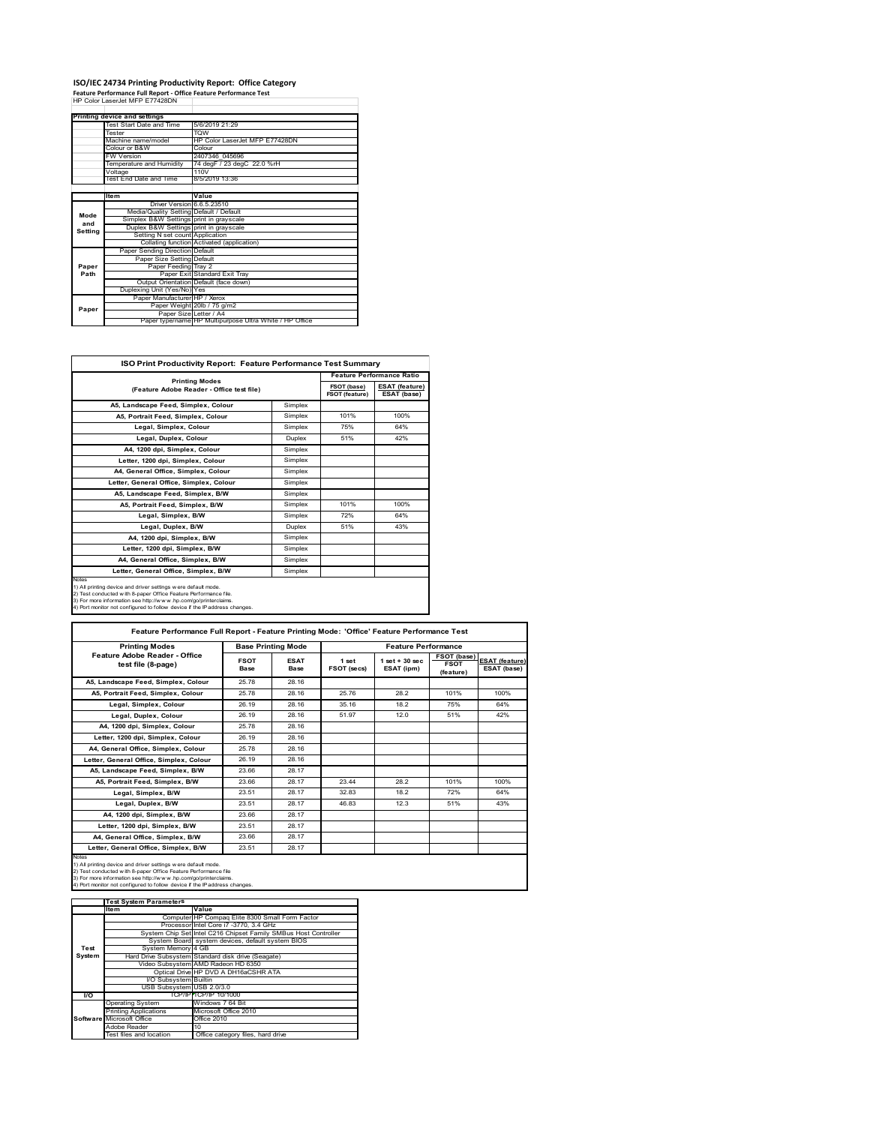## **ISO/IEC 24734 Printing Productivity Report: Office Category<br>Feature Performance Full Report - Office Feature Performance Test<br>HP Color LaserJet MFP E77428DN**

|         | Printing device and settings            |                                                         |
|---------|-----------------------------------------|---------------------------------------------------------|
|         | Test Start Date and Time                | 5/6/2019 21:29                                          |
|         | Tester                                  | <b>TOW</b>                                              |
|         | Machine name/model                      | HP Color LaserJet MFP E77428DN                          |
|         | Colour or B&W                           | Colour                                                  |
|         | FW Version                              | 2407346 045696                                          |
|         | Temperature and Humidity                | 74 degF / 23 degC 22.0 %rH                              |
|         | Voltage                                 | 110V                                                    |
|         | Test End Date and Time                  | 8/5/2019 13:36                                          |
|         |                                         |                                                         |
|         | <b>Item</b>                             | Value                                                   |
|         | Driver Version 6.6.5.23510              |                                                         |
| Mode    | Media/Quality Setting Default / Default |                                                         |
| and     | Simplex B&W Settings print in grayscale |                                                         |
| Setting | Duplex B&W Settings print in grayscale  |                                                         |
|         | Setting N set count Application         |                                                         |
|         |                                         | Collating function Activated (application)              |
|         | Paper Sending Direction Default         |                                                         |
|         | Paper Size Setting Default              |                                                         |
| Paper   | Paper Feeding Tray 2                    |                                                         |
| Path    |                                         | Paper Exit Standard Exit Tray                           |
|         |                                         | Output Orientation Default (face down)                  |
|         | Duplexing Unit (Yes/No) Yes             |                                                         |
|         | Paper Manufacturer HP / Xerox           |                                                         |
| Paper   |                                         | Paper Weight 20lb / 75 g/m2                             |
|         | Paper Size Letter / A4                  |                                                         |
|         |                                         | Paper type/name HP Multipurpose Ultra White / HP Office |

٦

| ISO Print Productivity Report: Feature Performance Test Summary                                                                                                                                                                                                                             |               |                                      |                                      |  |  |
|---------------------------------------------------------------------------------------------------------------------------------------------------------------------------------------------------------------------------------------------------------------------------------------------|---------------|--------------------------------------|--------------------------------------|--|--|
| <b>Printing Modes</b>                                                                                                                                                                                                                                                                       |               |                                      | <b>Feature Performance Ratio</b>     |  |  |
| (Feature Adobe Reader - Office test file)                                                                                                                                                                                                                                                   |               | FSOT (base)<br><b>FSOT (feature)</b> | <b>ESAT (feature)</b><br>ESAT (base) |  |  |
| A5, Landscape Feed, Simplex, Colour                                                                                                                                                                                                                                                         | Simplex       |                                      |                                      |  |  |
| A5. Portrait Feed. Simplex. Colour                                                                                                                                                                                                                                                          | Simplex       | 101%                                 | 100%                                 |  |  |
| Legal, Simplex, Colour                                                                                                                                                                                                                                                                      | Simplex       | 75%                                  | 64%                                  |  |  |
| Legal, Duplex, Colour                                                                                                                                                                                                                                                                       | <b>Duplex</b> | 51%                                  | 42%                                  |  |  |
| A4, 1200 dpi, Simplex, Colour                                                                                                                                                                                                                                                               | Simplex       |                                      |                                      |  |  |
| Letter, 1200 dpi. Simplex, Colour                                                                                                                                                                                                                                                           | Simplex       |                                      |                                      |  |  |
| A4. General Office. Simplex. Colour                                                                                                                                                                                                                                                         | Simplex       |                                      |                                      |  |  |
| Letter, General Office, Simplex, Colour                                                                                                                                                                                                                                                     | Simplex       |                                      |                                      |  |  |
| A5, Landscape Feed, Simplex, B/W                                                                                                                                                                                                                                                            | Simplex       |                                      |                                      |  |  |
| A5, Portrait Feed, Simplex, B/W                                                                                                                                                                                                                                                             | Simplex       | 101%                                 | 100%                                 |  |  |
| Legal, Simplex, B/W                                                                                                                                                                                                                                                                         | Simplex       | 72%                                  | 64%                                  |  |  |
| Legal, Duplex, B/W                                                                                                                                                                                                                                                                          | <b>Duplex</b> | 51%                                  | 43%                                  |  |  |
| A4. 1200 dpi. Simplex, B/W                                                                                                                                                                                                                                                                  | Simplex       |                                      |                                      |  |  |
| Letter, 1200 dpi, Simplex, B/W                                                                                                                                                                                                                                                              | Simplex       |                                      |                                      |  |  |
| A4, General Office, Simplex, B/W                                                                                                                                                                                                                                                            | Simplex       |                                      |                                      |  |  |
| Letter, General Office, Simplex, B/W                                                                                                                                                                                                                                                        | Simplex       |                                      |                                      |  |  |
| Notes<br>1) All printing device and driver settings w ere default mode.<br>2) Test conducted with 8-paper Office Feature Performance file.<br>3) For more information see http://www.hp.com/go/printerclaims.<br>4) Port monitor not configured to follow device if the IP address changes. |               |                                      |                                      |  |  |

| Feature Performance Full Report - Feature Printing Mode: 'Office' Feature Performance Test                                                                                                                                                                                                 |                     |                            |                      |                                  |                                                |                                      |  |
|--------------------------------------------------------------------------------------------------------------------------------------------------------------------------------------------------------------------------------------------------------------------------------------------|---------------------|----------------------------|----------------------|----------------------------------|------------------------------------------------|--------------------------------------|--|
| <b>Printing Modes</b>                                                                                                                                                                                                                                                                      |                     | <b>Base Printing Mode</b>  |                      | <b>Feature Performance</b>       |                                                |                                      |  |
| Feature Adobe Reader - Office<br>test file (8-page)                                                                                                                                                                                                                                        | <b>FSOT</b><br>Base | <b>ESAT</b><br><b>Base</b> | 1 set<br>FSOT (secs) | $1$ set $+30$ sec.<br>ESAT (ipm) | <b>FSOT (base)</b><br><b>FSOT</b><br>(feature) | <b>ESAT (feature)</b><br>ESAT (base) |  |
| A5, Landscape Feed, Simplex, Colour                                                                                                                                                                                                                                                        | 25.78               | 28.16                      |                      |                                  |                                                |                                      |  |
| A5. Portrait Feed. Simplex. Colour                                                                                                                                                                                                                                                         | 25.78               | 28.16                      | 25.76                | 28.2                             | 101%                                           | 100%                                 |  |
| Legal, Simplex, Colour                                                                                                                                                                                                                                                                     | 26.19               | 28.16                      | 35.16                | 18.2                             | 75%                                            | 64%                                  |  |
| Legal, Duplex, Colour                                                                                                                                                                                                                                                                      | 26.19               | 28.16                      | 51.97                | 12.0                             | 51%                                            | 42%                                  |  |
| A4. 1200 dpi. Simplex. Colour                                                                                                                                                                                                                                                              | 25.78               | 28.16                      |                      |                                  |                                                |                                      |  |
| Letter, 1200 dpi, Simplex, Colour                                                                                                                                                                                                                                                          | 26.19               | 28.16                      |                      |                                  |                                                |                                      |  |
| A4, General Office, Simplex, Colour                                                                                                                                                                                                                                                        | 25.78               | 28.16                      |                      |                                  |                                                |                                      |  |
| Letter, General Office, Simplex, Colour                                                                                                                                                                                                                                                    | 26.19               | 28.16                      |                      |                                  |                                                |                                      |  |
| A5, Landscape Feed, Simplex, B/W                                                                                                                                                                                                                                                           | 23.66               | 28.17                      |                      |                                  |                                                |                                      |  |
| A5. Portrait Feed. Simplex. B/W                                                                                                                                                                                                                                                            | 23.66               | 28.17                      | 23 44                | 28.2                             | 101%                                           | 100%                                 |  |
| Legal, Simplex, B/W                                                                                                                                                                                                                                                                        | 23.51               | 28.17                      | 32.83                | 18.2                             | 72%                                            | 64%                                  |  |
| Legal, Duplex, B/W                                                                                                                                                                                                                                                                         | 23.51               | 28.17                      | 46.83                | 12.3                             | 51%                                            | 43%                                  |  |
| A4. 1200 dpi. Simplex. B/W                                                                                                                                                                                                                                                                 | 23.66               | 28.17                      |                      |                                  |                                                |                                      |  |
| Letter, 1200 dpi, Simplex, B/W                                                                                                                                                                                                                                                             | 23.51               | 28.17                      |                      |                                  |                                                |                                      |  |
| A4, General Office, Simplex, B/W                                                                                                                                                                                                                                                           | 23.66               | 28.17                      |                      |                                  |                                                |                                      |  |
| Letter, General Office, Simplex, B/W                                                                                                                                                                                                                                                       | 23.51               | 28.17                      |                      |                                  |                                                |                                      |  |
| Notes<br>1) All printing device and driver settings w ere default mode.<br>2) Test conducted with 8-paper Office Feature Performance file<br>3) For more information see http://www.hp.com/go/printerclaims.<br>4) Port monitor not configured to follow device if the IP address changes. |                     |                            |                      |                                  |                                                |                                      |  |

|        | <b>Test System Parameters</b> |                                                                 |
|--------|-------------------------------|-----------------------------------------------------------------|
|        | <b>Item</b>                   | Value                                                           |
|        |                               | Computer HP Compaq Elite 8300 Small Form Factor                 |
|        |                               | Processor Intel Core i7 -3770, 3.4 GHz                          |
|        |                               | System Chip Set Intel C216 Chipset Family SMBus Host Controller |
|        |                               | System Board system devices, default system BIOS                |
| Test   | System Memory 4 GB            |                                                                 |
| System |                               | Hard Drive Subsystem Standard disk drive (Seagate)              |
|        |                               | Video Subsystem AMD Radeon HD 6350                              |
|        |                               | Optical Drive HP DVD A DH16aCSHR ATA                            |
|        | I/O Subsystem Builtin         |                                                                 |
|        | USB Subsystem USB 2.0/3.0     |                                                                 |
| I/O    |                               | TCP/IPITCP/IP 10/1000                                           |
|        | <b>Operating System</b>       | Windows 7 64 Bit                                                |
|        | <b>Printing Applications</b>  | Microsoft Office 2010                                           |
|        | Software Microsoft Office     | Office 2010                                                     |
|        | Adobe Reader                  | 10                                                              |
|        | Test files and location       | Office category files, hard drive                               |
|        |                               |                                                                 |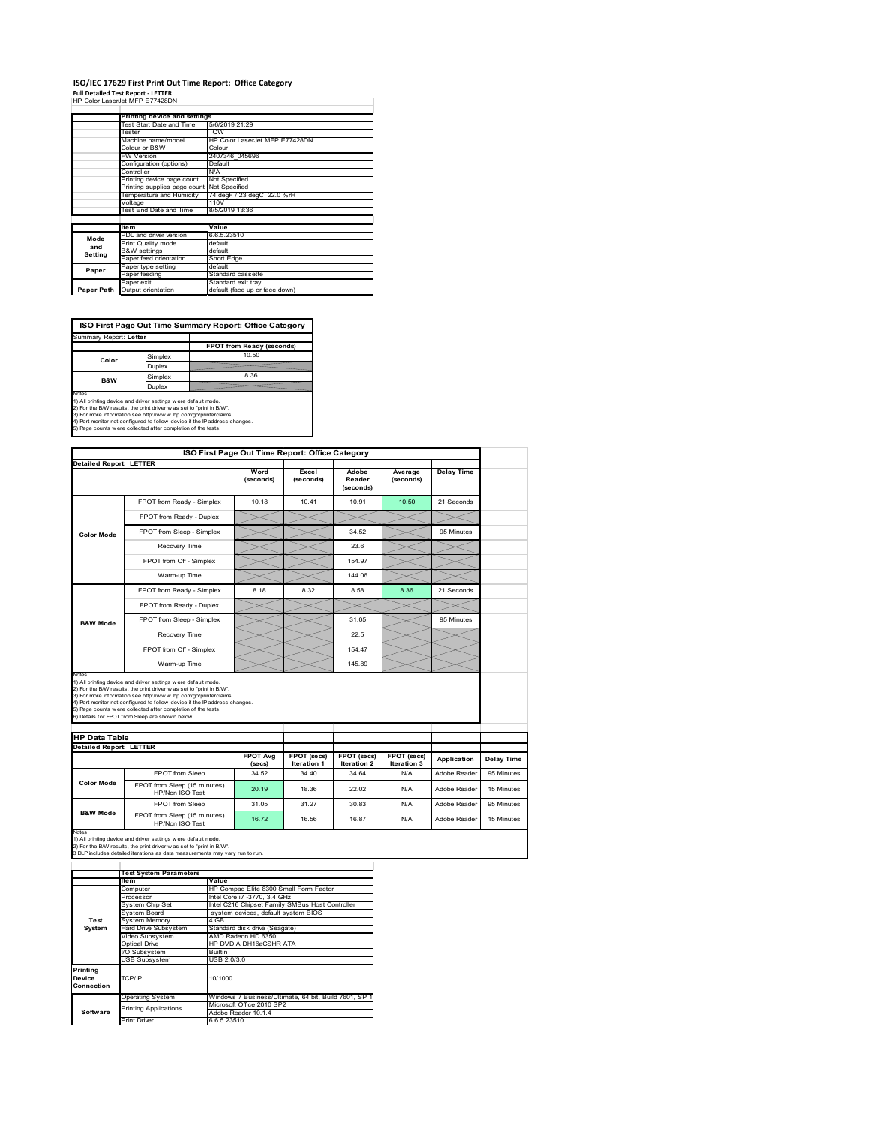#### **ISO/IEC 17629 First Print Out Time Report: Office Category Full Detailed Test Report ‐ LETTER** HP Color LaserJet MFP E77428DN

|            | 88 CAROL LASHIJHI MEP E77476UN |                                |  |  |  |
|------------|--------------------------------|--------------------------------|--|--|--|
|            | Printing device and settings   |                                |  |  |  |
|            | Test Start Date and Time       | 5/6/2019 21:29                 |  |  |  |
|            | Tester                         | <b>TOW</b>                     |  |  |  |
|            | Machine name/model             | HP Color LaserJet MFP E77428DN |  |  |  |
|            | Colour or B&W                  | Colour                         |  |  |  |
|            | <b>FW Version</b>              | 2407346 045696                 |  |  |  |
|            | Configuration (options)        | Default                        |  |  |  |
|            | Controller                     | N/A                            |  |  |  |
|            | Printing device page count     | Not Specified                  |  |  |  |
|            | Printing supplies page count   | Not Specified                  |  |  |  |
|            | Temperature and Humidity       | 74 degF / 23 degC 22.0 %rH     |  |  |  |
|            | Voltage                        | 110V                           |  |  |  |
|            | Test End Date and Time         | 8/5/2019 13:36                 |  |  |  |
|            |                                |                                |  |  |  |
|            | <b>Item</b>                    | Value                          |  |  |  |
| Mode       | PDL and driver version         | 6.6.5.23510                    |  |  |  |
| and        | Print Quality mode             | default                        |  |  |  |
| Setting    | <b>B&amp;W</b> settings        | default                        |  |  |  |
|            | Paper feed orientation         | Short Edge                     |  |  |  |
| Paper      | Paper type setting             | default                        |  |  |  |
|            | Paper feeding                  | Standard cassette              |  |  |  |
|            | Paper exit                     | Standard exit tray             |  |  |  |
| Paper Path | Output orientation             | default (face up or face down) |  |  |  |

**ISO First Page Out Time Summary Report: Office Category**

| Summary Report: Letter |         |                           |  |
|------------------------|---------|---------------------------|--|
|                        |         | FPOT from Ready (seconds) |  |
| Color                  | Simplex | 10.50                     |  |
|                        | Duplex  |                           |  |
| <b>B&amp;W</b>         | Simplex | 8.36                      |  |
|                        | Duplex  |                           |  |
| Notes                  |         |                           |  |

Notes<br>1) All printing device and driver settings were default mode.<br>2) For the BW results, the print driver was set to "print in BW".<br>3) For more information see http://www.hp.com/golprinterclaims.<br>4) Port montor not confi

| <b>Detailed Report: LETTER</b> |                                                                                                                                                                                                                                                                                                                                                                                                             |                           |                                   |                                   |                            |                   |            |
|--------------------------------|-------------------------------------------------------------------------------------------------------------------------------------------------------------------------------------------------------------------------------------------------------------------------------------------------------------------------------------------------------------------------------------------------------------|---------------------------|-----------------------------------|-----------------------------------|----------------------------|-------------------|------------|
|                                |                                                                                                                                                                                                                                                                                                                                                                                                             |                           |                                   |                                   |                            |                   |            |
|                                |                                                                                                                                                                                                                                                                                                                                                                                                             | Word<br>(seconds)         | Excel<br>(seconds)                | Adobe<br>Reader<br>(seconds)      | Average<br>(seconds)       | <b>Delay Time</b> |            |
|                                | FPOT from Ready - Simplex                                                                                                                                                                                                                                                                                                                                                                                   | 10.18                     | 10.41                             | 10.91                             | 10.50                      | 21 Seconds        |            |
|                                | FPOT from Ready - Duplex                                                                                                                                                                                                                                                                                                                                                                                    |                           |                                   |                                   |                            |                   |            |
| <b>Color Mode</b>              | FPOT from Sleep - Simplex                                                                                                                                                                                                                                                                                                                                                                                   |                           |                                   | 34.52                             |                            | 95 Minutes        |            |
|                                | Recovery Time                                                                                                                                                                                                                                                                                                                                                                                               |                           |                                   | 23.6                              |                            |                   |            |
|                                | FPOT from Off - Simplex                                                                                                                                                                                                                                                                                                                                                                                     |                           |                                   | 154.97                            |                            |                   |            |
|                                | Warm-up Time                                                                                                                                                                                                                                                                                                                                                                                                |                           |                                   | 144.06                            |                            |                   |            |
|                                | FPOT from Ready - Simplex                                                                                                                                                                                                                                                                                                                                                                                   | 8.18                      | 8.32                              | 8.58                              | 8.36                       | 21 Seconds        |            |
|                                | FPOT from Ready - Duplex                                                                                                                                                                                                                                                                                                                                                                                    |                           |                                   |                                   |                            |                   |            |
| <b>B&amp;W Mode</b>            | FPOT from Sleep - Simplex                                                                                                                                                                                                                                                                                                                                                                                   |                           |                                   | 31.05                             |                            | 95 Minutes        |            |
|                                | Recovery Time                                                                                                                                                                                                                                                                                                                                                                                               |                           |                                   | 22.5                              |                            |                   |            |
|                                | FPOT from Off - Simplex                                                                                                                                                                                                                                                                                                                                                                                     |                           |                                   | 154.47                            |                            |                   |            |
|                                | Warm-up Time                                                                                                                                                                                                                                                                                                                                                                                                |                           |                                   | 145.89                            |                            |                   |            |
| <b>HP Data Table</b>           | 1) All printing device and driver settings w ere default mode.<br>2) For the B/W results, the print driver was set to "print in B/W".<br>3) For more information see http://www.hp.com/go/printerclaims.<br>4) Port monitor not configured to follow device if the IP address changes.<br>5) Page counts w ere collected after completion of the tests.<br>6) Details for FPOT from Sleep are show n below. |                           |                                   |                                   |                            |                   |            |
| <b>Detailed Report: LETTER</b> |                                                                                                                                                                                                                                                                                                                                                                                                             |                           |                                   |                                   |                            |                   |            |
|                                |                                                                                                                                                                                                                                                                                                                                                                                                             | <b>FPOT Avg</b><br>(secs) | FPOT (secs)<br><b>Iteration 1</b> | FPOT (secs)<br><b>Iteration 2</b> | FPOT (secs)<br>Iteration 3 | Application       | Delay Time |
|                                | FPOT from Sleep                                                                                                                                                                                                                                                                                                                                                                                             | 34.52                     | 34.40                             | 34.64                             | N/A                        | Adobe Reader      | 95 Minutes |
| <b>Color Mode</b>              | FPOT from Sleep (15 minutes)<br>HP/Non ISO Test                                                                                                                                                                                                                                                                                                                                                             | 20.19                     | 18.36                             | 22.02                             | N/A                        | Adobe Reader      | 15 Minutes |
| <b>B&amp;W Mode</b>            | FPOT from Sleep                                                                                                                                                                                                                                                                                                                                                                                             | 31.05                     | 31.27                             | 30.83                             | N/A                        | Adobe Reader      | 95 Minutes |

|            | <b>Test System Parameters</b> |                                                       |  |  |  |
|------------|-------------------------------|-------------------------------------------------------|--|--|--|
|            | <b>Item</b>                   | Value                                                 |  |  |  |
|            | Computer                      | HP Compag Elite 8300 Small Form Factor                |  |  |  |
|            | Processor                     | Intel Core i7 -3770, 3.4 GHz                          |  |  |  |
|            | System Chip Set               | Intel C216 Chipset Family SMBus Host Controller       |  |  |  |
|            | System Board                  | system devices, default system BIOS                   |  |  |  |
| Test       | <b>System Memory</b>          | 4 GB                                                  |  |  |  |
| System     | <b>Hard Drive Subsystem</b>   | Standard disk drive (Seagate)                         |  |  |  |
|            | Video Subsystem               | AMD Radeon HD 6350                                    |  |  |  |
|            | Optical Drive                 | HP DVD A DH16aCSHR ATA                                |  |  |  |
|            | I/O Subsystem                 | Builtin                                               |  |  |  |
|            | <b>USB Subsystem</b>          | USB 2.0/3.0                                           |  |  |  |
| Printing   |                               |                                                       |  |  |  |
| Device     | TCP/IP                        | 10/1000                                               |  |  |  |
| Connection |                               |                                                       |  |  |  |
|            | <b>Operating System</b>       | Windows 7 Business/Ultimate, 64 bit, Build 7601, SP 1 |  |  |  |
|            | <b>Printing Applications</b>  | Microsoft Office 2010 SP2                             |  |  |  |
| Software   |                               | Adobe Reader 10.1.4                                   |  |  |  |
|            | <b>Print Driver</b>           | 6.6.5.23510                                           |  |  |  |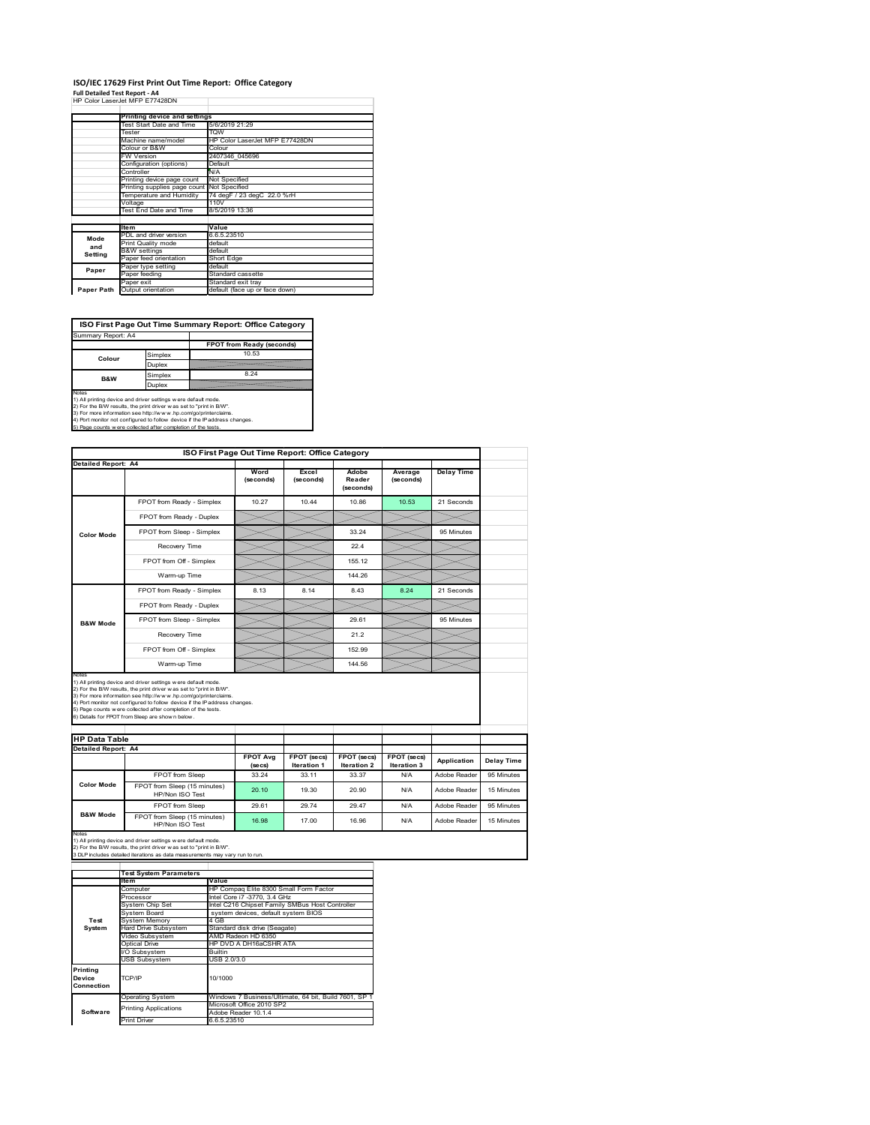#### **ISO/IEC 17629 First Print Out Time Report: Office Category**  $\overline{1}$

**Full Detailed Test Report ‐ A4** HP Color LaserJet MFP E77428DN

|            | Printing device and settings               |                                |  |  |
|------------|--------------------------------------------|--------------------------------|--|--|
|            | Test Start Date and Time                   | 5/6/2019 21:29                 |  |  |
|            | Tester                                     | <b>TOW</b>                     |  |  |
|            | Machine name/model                         | HP Color LaserJet MFP E77428DN |  |  |
|            | Colour or B&W                              | Colour                         |  |  |
|            | <b>FW Version</b>                          | 2407346 045696                 |  |  |
|            | Configuration (options)                    | Default                        |  |  |
|            | Controller                                 | N/A                            |  |  |
|            | Printing device page count                 | Not Specified                  |  |  |
|            | Printing supplies page count Not Specified |                                |  |  |
|            | Temperature and Humidity                   | 74 degF / 23 degC 22.0 %rH     |  |  |
|            | Voltage                                    | 110V                           |  |  |
|            | Test End Date and Time                     | 8/5/2019 13:36                 |  |  |
|            |                                            |                                |  |  |
|            | <b>Item</b>                                | Value                          |  |  |
| Mode       | PDL and driver version                     | 6.6.5.23510                    |  |  |
| and        | Print Quality mode                         | default                        |  |  |
| Setting    | <b>B&amp;W</b> settings                    | default                        |  |  |
|            | Paper feed orientation                     | Short Edge                     |  |  |
| Paper      | Paper type setting                         | default                        |  |  |
|            | Paper feeding                              | Standard cassette              |  |  |
|            | Paper exit                                 | Standard exit tray             |  |  |
| Paper Path | Output orientation                         | default (face up or face down) |  |  |

**ISO First Page Out Time Summary Report: Office Category**

| Summary Report: A4 |         |                           |
|--------------------|---------|---------------------------|
|                    |         | FPOT from Ready (seconds) |
| Colour             | Simplex | 10.53                     |
|                    | Duplex  |                           |
| <b>B&amp;W</b>     | Simplex | 8.24                      |
|                    | Duplex  |                           |
| $k = 1 - 1$        |         |                           |

Notes<br>1) All printing device and driver settings were default mode.<br>2) For the BAV results, the print driver was set to "print in BAV".<br>3) For more information see http://www.hp.com/golprinterclaims.<br>4) Port monitor not co

|                                                    |                                                                                                                                                                                                                                                                                                                                                                                                             | ISO First Page Out Time Report: Office Category |                    |                              |                      |                              |                          |
|----------------------------------------------------|-------------------------------------------------------------------------------------------------------------------------------------------------------------------------------------------------------------------------------------------------------------------------------------------------------------------------------------------------------------------------------------------------------------|-------------------------------------------------|--------------------|------------------------------|----------------------|------------------------------|--------------------------|
| <b>Detailed Report: A4</b>                         |                                                                                                                                                                                                                                                                                                                                                                                                             | Word<br>(seconds)                               | Excel<br>(seconds) | Adobe<br>Reader<br>(seconds) | Average<br>(seconds) | <b>Delay Time</b>            |                          |
|                                                    | FPOT from Ready - Simplex                                                                                                                                                                                                                                                                                                                                                                                   | 10.27                                           | 10.44              | 10.86                        | 10.53                | 21 Seconds                   |                          |
|                                                    | FPOT from Ready - Duplex                                                                                                                                                                                                                                                                                                                                                                                    |                                                 |                    |                              |                      |                              |                          |
| <b>Color Mode</b>                                  | FPOT from Sleep - Simplex                                                                                                                                                                                                                                                                                                                                                                                   |                                                 |                    | 33.24                        |                      | 95 Minutes                   |                          |
|                                                    | Recovery Time                                                                                                                                                                                                                                                                                                                                                                                               |                                                 |                    | 22.4                         |                      |                              |                          |
|                                                    | FPOT from Off - Simplex                                                                                                                                                                                                                                                                                                                                                                                     |                                                 |                    | 155.12                       |                      |                              |                          |
|                                                    | Warm-up Time                                                                                                                                                                                                                                                                                                                                                                                                |                                                 |                    | 144.26                       |                      |                              |                          |
|                                                    | FPOT from Ready - Simplex                                                                                                                                                                                                                                                                                                                                                                                   | 8.13                                            | 8.14               | 8.43                         | 8.24                 | 21 Seconds                   |                          |
|                                                    | FPOT from Ready - Duplex                                                                                                                                                                                                                                                                                                                                                                                    |                                                 |                    |                              |                      |                              |                          |
| <b>B&amp;W Mode</b>                                | FPOT from Sleep - Simplex                                                                                                                                                                                                                                                                                                                                                                                   |                                                 |                    | 29.61                        |                      | 95 Minutes                   |                          |
|                                                    | Recovery Time                                                                                                                                                                                                                                                                                                                                                                                               |                                                 |                    | 21.2                         |                      |                              |                          |
|                                                    |                                                                                                                                                                                                                                                                                                                                                                                                             |                                                 |                    |                              |                      |                              |                          |
|                                                    | FPOT from Off - Simplex                                                                                                                                                                                                                                                                                                                                                                                     |                                                 |                    | 152.99                       |                      |                              |                          |
| Notes                                              | Warm-up Time                                                                                                                                                                                                                                                                                                                                                                                                |                                                 |                    | 144.56                       |                      |                              |                          |
| <b>HP Data Table</b><br><b>Detailed Report: A4</b> | 1) All printing device and driver settings w ere default mode.<br>2) For the B/W results, the print driver was set to "print in B/W".<br>3) For more information see http://www.hp.com/go/printerclaims.<br>4) Port monitor not configured to follow device if the IP address changes.<br>5) Page counts w ere collected after completion of the tests.<br>6) Details for FPOT from Sleep are show n below. | <b>FPOT Avg</b>                                 | FPOT (secs)        | FPOT (secs)                  | FPOT (secs)          | Application                  | Delay Time               |
|                                                    |                                                                                                                                                                                                                                                                                                                                                                                                             | (se cs)                                         | <b>Iteration 1</b> | Iteration 2                  | <b>Iteration 3</b>   |                              |                          |
| <b>Color Mode</b>                                  | FPOT from Sleep<br>FPOT from Sleep (15 minutes)<br>HP/Non ISO Test                                                                                                                                                                                                                                                                                                                                          | 33.24<br>20.10                                  | 33.11<br>19.30     | 33.37<br>20.90               | N/A<br>N/A           | Adobe Reader<br>Adobe Reader | 95 Minutes<br>15 Minutes |
| <b>B&amp;W Mode</b>                                | FPOT from Sleep                                                                                                                                                                                                                                                                                                                                                                                             | 29.61                                           | 29.74              | 29.47                        | N/A                  | Adobe Reader                 | 95 Minutes               |

|                                  | <b>Test System Parameters</b> |                                                       |
|----------------------------------|-------------------------------|-------------------------------------------------------|
|                                  | ltem                          | Value                                                 |
|                                  | Computer                      | HP Compaq Elite 8300 Small Form Factor                |
|                                  | Processor                     | Intel Core i7 -3770, 3.4 GHz                          |
|                                  | System Chip Set               | Intel C216 Chipset Family SMBus Host Controller       |
|                                  | System Board                  | system devices, default system BIOS                   |
| Test                             | <b>System Memory</b>          | 4 GB                                                  |
| System                           | <b>Hard Drive Subsystem</b>   | Standard disk drive (Seagate)                         |
|                                  | Video Subsystem               | AMD Radeon HD 6350                                    |
|                                  | Optical Drive                 | HP DVD A DH16aCSHR ATA                                |
|                                  | I/O Subsystem                 | <b>Builtin</b>                                        |
|                                  | USB Subsystem                 | USB 2.0/3.0                                           |
| Printing<br>Device<br>Connection | TCP/IP                        | 10/1000                                               |
|                                  | <b>Operating System</b>       | Windows 7 Business/Ultimate, 64 bit, Build 7601, SP 1 |
|                                  | <b>Printing Applications</b>  | Microsoft Office 2010 SP2                             |
| Software                         |                               | Adobe Reader 10.1.4                                   |
|                                  | <b>Print Driver</b>           | 6.6.5.23510                                           |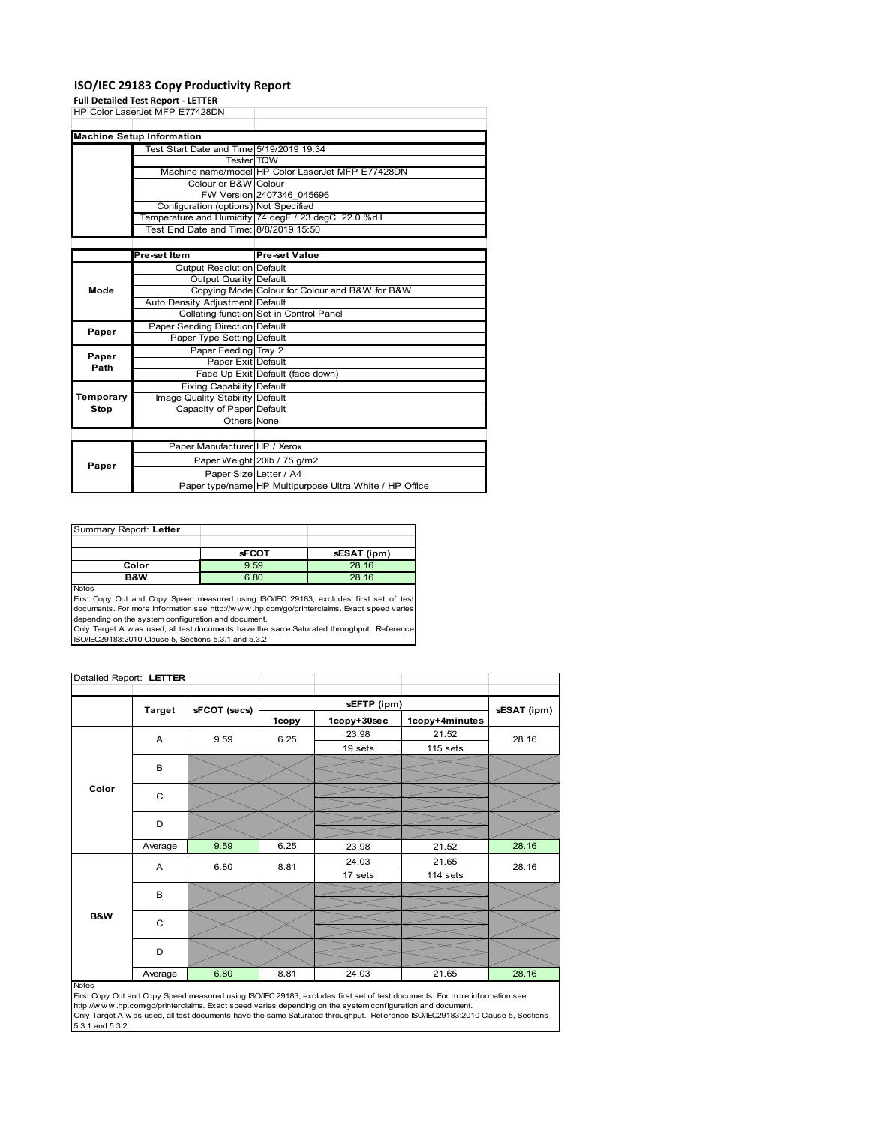### **ISO/IEC 29183 Copy Productivity Report**

|           | <b>Full Detailed Test Report - LETTER</b> |                                                         |  |  |
|-----------|-------------------------------------------|---------------------------------------------------------|--|--|
|           | HP Color LaserJet MFP E77428DN            |                                                         |  |  |
|           |                                           |                                                         |  |  |
|           | <b>Machine Setup Information</b>          |                                                         |  |  |
|           | Test Start Date and Time 5/19/2019 19:34  |                                                         |  |  |
|           | <b>Tester</b> TQW                         |                                                         |  |  |
|           |                                           | Machine name/model HP Color LaserJet MFP E77428DN       |  |  |
|           | Colour or B&W Colour                      |                                                         |  |  |
|           |                                           | FW Version 2407346 045696                               |  |  |
|           | Configuration (options) Not Specified     |                                                         |  |  |
|           |                                           | Temperature and Humidity 74 degF / 23 degC 22.0 %rH     |  |  |
|           | Test End Date and Time: 8/8/2019 15:50    |                                                         |  |  |
|           |                                           |                                                         |  |  |
|           | Pre-set Item                              | <b>Pre-set Value</b>                                    |  |  |
|           | <b>Output Resolution Default</b>          |                                                         |  |  |
|           | <b>Output Quality Default</b>             |                                                         |  |  |
| Mode      |                                           | Copying Mode Colour for Colour and B&W for B&W          |  |  |
|           | Auto Density Adjustment Default           |                                                         |  |  |
|           |                                           | Collating function Set in Control Panel                 |  |  |
| Paper     | Paper Sending Direction Default           |                                                         |  |  |
|           | <b>Paper Type Setting Default</b>         |                                                         |  |  |
| Paper     | Paper Feeding Tray 2                      |                                                         |  |  |
| Path      | Paper Exit Default                        |                                                         |  |  |
|           |                                           | Face Up Exit Default (face down)                        |  |  |
|           | <b>Fixing Capability Default</b>          |                                                         |  |  |
| Temporary | Image Quality Stability Default           |                                                         |  |  |
| Stop      | Capacity of Paper Default                 |                                                         |  |  |
|           | Others None                               |                                                         |  |  |
|           |                                           |                                                         |  |  |
|           | Paper Manufacturer HP / Xerox             |                                                         |  |  |
| Paper     |                                           | Paper Weight 20lb / 75 g/m2                             |  |  |
|           | Paper Size Letter / A4                    |                                                         |  |  |
|           |                                           | Paper type/name HP Multipurpose Ultra White / HP Office |  |  |

| Summary Report: Letter |              |             |
|------------------------|--------------|-------------|
|                        |              |             |
|                        | <b>sFCOT</b> | sESAT (ipm) |
| Color                  | 9.59         | 28.16       |
| B&W                    | 6.80         | 28.16       |
| <b>Nickon</b>          |              |             |

Notes<br>First Copy Out and Copy Speed measured using ISO/IEC 29183, excludes first set of test<br>documents. For more information see http://www..hp.com/go/printerclaims. Exact speed varies

depending on the system configuration and document.<br>Only Target A w as used, all test documents have the same Saturated throughput. Reference<br>ISO/IEC29183:2010 Clause 5, Sections 5.3.1 and 5.3.2

| Detailed Report: LETTER |               |              |       |             |                |             |
|-------------------------|---------------|--------------|-------|-------------|----------------|-------------|
|                         |               |              |       | sEFTP (ipm) |                | sESAT (ipm) |
|                         | <b>Target</b> | sFCOT (secs) | 1copy | 1copy+30sec | 1copy+4minutes |             |
|                         | A             | 9.59         | 6.25  | 23.98       | 21.52          | 28.16       |
|                         |               |              |       | 19 sets     | 115 sets       |             |
|                         | B             |              |       |             |                |             |
|                         |               |              |       |             |                |             |
| Color                   | C             |              |       |             |                |             |
|                         | D             |              |       |             |                |             |
|                         |               |              |       |             |                |             |
|                         | Average       | 9.59         | 6.25  | 23.98       | 21.52          | 28.16       |
|                         | A             | 6.80         | 8.81  | 24.03       | 21.65          | 28.16       |
|                         |               |              |       | 17 sets     | 114 sets       |             |
|                         | B             |              |       |             |                |             |
|                         |               |              |       |             |                |             |
| B&W                     | C             |              |       |             |                |             |
|                         | D             |              |       |             |                |             |
|                         | Average       | 6.80         | 8.81  | 24.03       | 21.65          | 28.16       |

#### Notes

First Copy Out and Copy Speed measured using ISO/IEC 29183, excludes first set of test documents. For more information see<br>http://w w w.hp.com/go/printerclaims. Exact speed varies depending on the system configuration and 5.3.1 and 5.3.2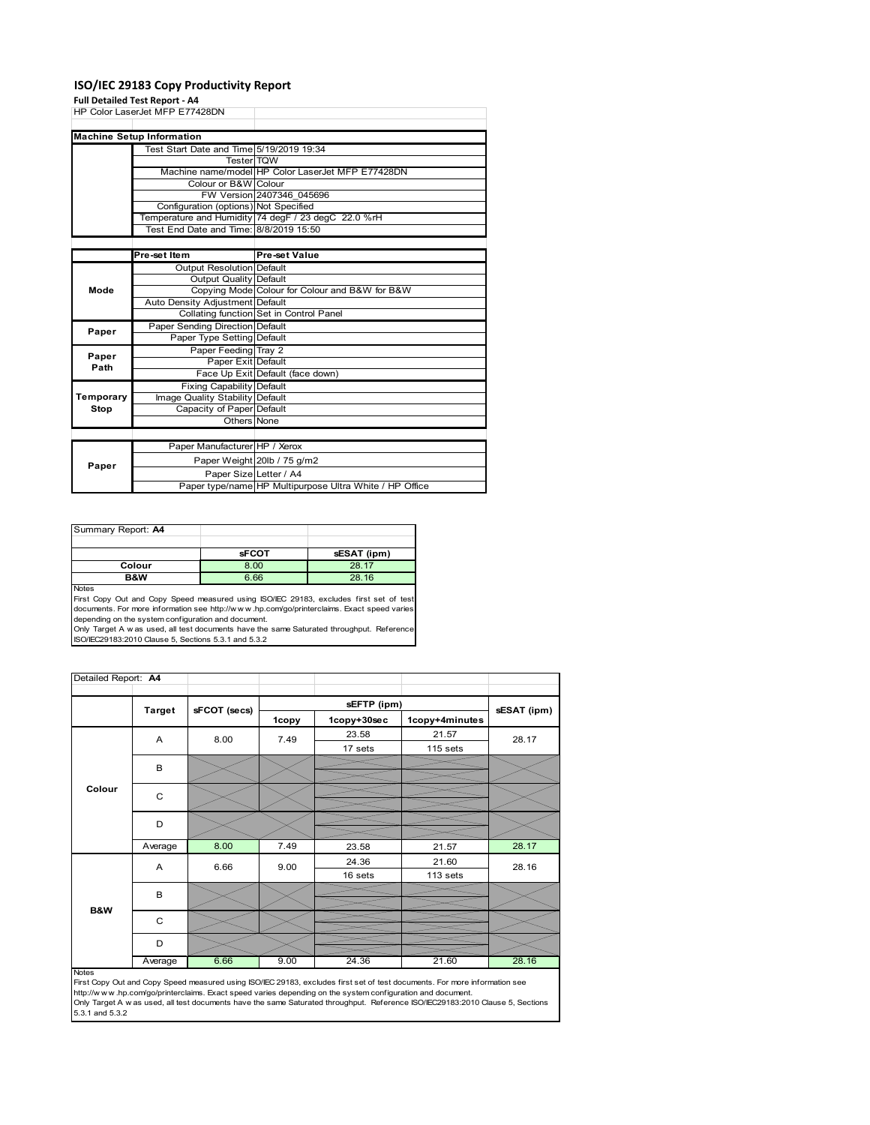### **ISO/IEC 29183 Copy Productivity Report**

**Full Detailed Test Report ‐ A4**

|           | run betanca Test Report - A+             |                                                         |
|-----------|------------------------------------------|---------------------------------------------------------|
|           | HP Color LaserJet MFP E77428DN           |                                                         |
|           |                                          |                                                         |
|           | <b>Machine Setup Information</b>         |                                                         |
|           | Test Start Date and Time 5/19/2019 19:34 |                                                         |
|           | <b>Tester</b> TOW                        |                                                         |
|           |                                          | Machine name/model HP Color LaserJet MFP E77428DN       |
|           | Colour or B&W Colour                     |                                                         |
|           |                                          | FW Version 2407346 045696                               |
|           | Configuration (options) Not Specified    |                                                         |
|           |                                          | Temperature and Humidity 74 degF / 23 degC 22.0 %rH     |
|           | Test End Date and Time: 8/8/2019 15:50   |                                                         |
|           |                                          |                                                         |
|           | Pre-set Item                             | <b>Pre-set Value</b>                                    |
|           | <b>Output Resolution Default</b>         |                                                         |
|           | <b>Output Quality Default</b>            |                                                         |
| Mode      |                                          | Copying Mode Colour for Colour and B&W for B&W          |
|           | Auto Density Adjustment Default          |                                                         |
|           |                                          | Collating function Set in Control Panel                 |
| Paper     | Paper Sending Direction Default          |                                                         |
|           | Paper Type Setting Default               |                                                         |
| Paper     | Paper Feeding Tray 2                     |                                                         |
| Path      | Paper Exit Default                       |                                                         |
|           |                                          | Face Up Exit Default (face down)                        |
|           | <b>Fixing Capability Default</b>         |                                                         |
| Temporary | Image Quality Stability Default          |                                                         |
| Stop      | Capacity of Paper Default                |                                                         |
|           | Others None                              |                                                         |
|           |                                          |                                                         |
|           | Paper Manufacturer HP / Xerox            |                                                         |
| Paper     |                                          | Paper Weight 20lb / 75 g/m2                             |
|           | Paper Size Letter / A4                   |                                                         |
|           |                                          | Paper type/name HP Multipurpose Ultra White / HP Office |

| Summary Report: A4 |              |             |
|--------------------|--------------|-------------|
|                    |              |             |
|                    | <b>sFCOT</b> | sESAT (ipm) |
| Colour             | 8.00         | 28.17       |
| B&W                | 6.66         | 28.16       |
| <b>Notes</b>       |              |             |

Notes<br>First Copy Out and Copy Speed measured using ISO/IEC 29183, excludes first set of test<br>documents. For more information see http://www.hp.com/go/printerclaims. Exact speed varies<br>depending on the system configuration

| Detailed Report: A4 |               |              |       |             |                |             |
|---------------------|---------------|--------------|-------|-------------|----------------|-------------|
|                     |               |              |       |             |                |             |
|                     | <b>Target</b> | sFCOT (secs) |       | sEFTP (ipm) |                | sESAT (ipm) |
|                     |               |              | 1copy | 1copy+30sec | 1copy+4minutes |             |
|                     | A             | 8.00         | 7.49  | 23.58       | 21.57          | 28.17       |
|                     |               |              |       | 17 sets     | 115 sets       |             |
|                     | B             |              |       |             |                |             |
|                     |               |              |       |             |                |             |
| Colour              | $\mathbf C$   |              |       |             |                |             |
|                     |               |              |       |             |                |             |
|                     | D             |              |       |             |                |             |
|                     |               |              |       |             |                |             |
|                     | Average       | 8.00         | 7.49  | 23.58       | 21.57          | 28.17       |
|                     | A             | 6.66         | 9.00  | 24.36       | 21.60          | 28.16       |
|                     |               |              |       | 16 sets     | 113 sets       |             |
|                     | B             |              |       |             |                |             |
| <b>B&amp;W</b>      |               |              |       |             |                |             |
|                     | C             |              |       |             |                |             |
|                     |               |              |       |             |                |             |
|                     | D             |              |       |             |                |             |
|                     | Average       | 6.66         | 9.00  | 24.36       | 21.60          | 28.16       |

Average 6.66 9.00 224.36 21.60 28.16<br>
First Copy Out and Copy Speed measured using ISO/IEC 29183, excludes first set of test documents. For more information see<br>
First://www.hp.com/go/printerclaims. Exact speed varies depe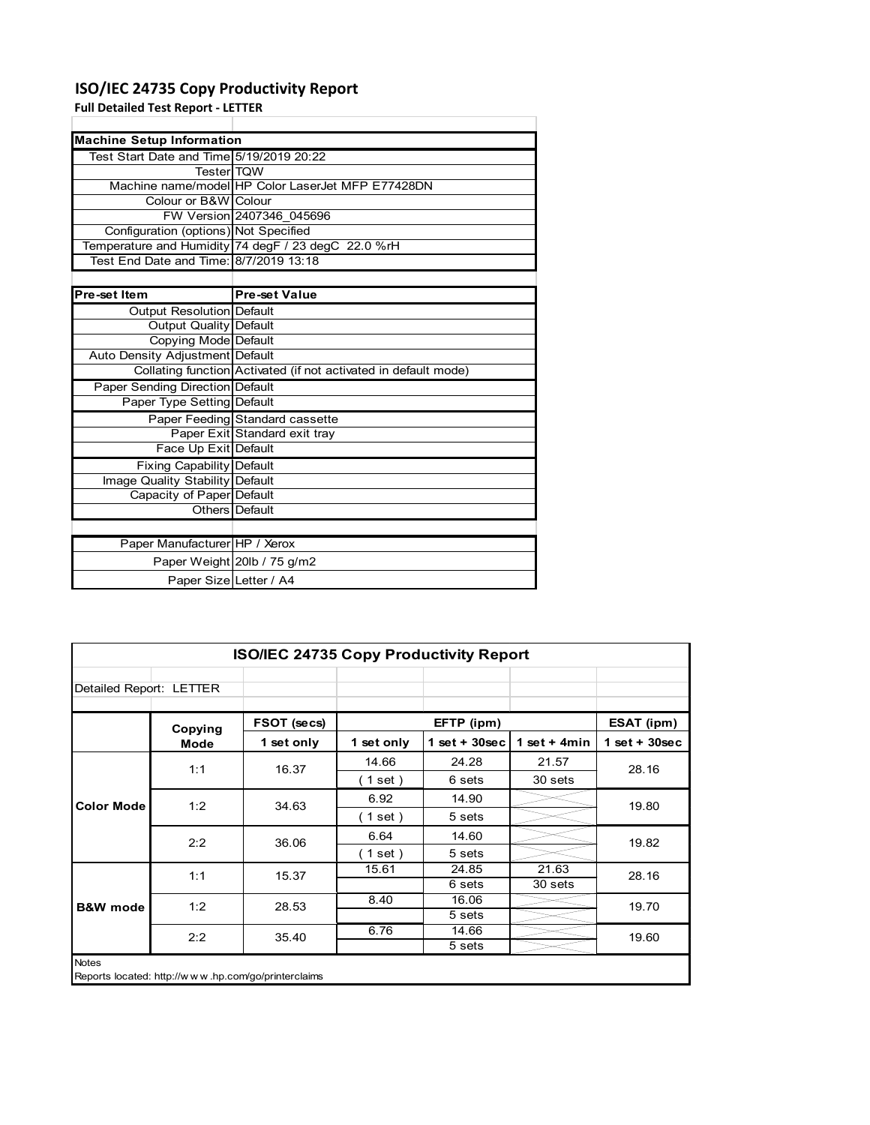### **ISO/IEC 24735 Copy Productivity Report**

**Full Detailed Test Report ‐ LETTER**

| <b>Machine Setup Information</b>         |                                                                 |  |  |  |  |
|------------------------------------------|-----------------------------------------------------------------|--|--|--|--|
| Test Start Date and Time 5/19/2019 20:22 |                                                                 |  |  |  |  |
| <b>Tester</b> TQW                        |                                                                 |  |  |  |  |
|                                          | Machine name/model HP Color LaserJet MFP E77428DN               |  |  |  |  |
| Colour or B&W Colour                     |                                                                 |  |  |  |  |
|                                          | FW Version 2407346 045696                                       |  |  |  |  |
| Configuration (options) Not Specified    |                                                                 |  |  |  |  |
|                                          | Temperature and Humidity 74 degF / 23 degC 22.0 %rH             |  |  |  |  |
| Test End Date and Time: 8/7/2019 13:18   |                                                                 |  |  |  |  |
|                                          |                                                                 |  |  |  |  |
| Pre-set Item                             | <b>Pre-set Value</b>                                            |  |  |  |  |
| Output Resolution Default                |                                                                 |  |  |  |  |
| <b>Output Quality Default</b>            |                                                                 |  |  |  |  |
| Copying Mode Default                     |                                                                 |  |  |  |  |
| Auto Density Adjustment Default          |                                                                 |  |  |  |  |
|                                          | Collating function Activated (if not activated in default mode) |  |  |  |  |
| Paper Sending Direction Default          |                                                                 |  |  |  |  |
| Paper Type Setting Default               |                                                                 |  |  |  |  |
|                                          | Paper Feeding Standard cassette                                 |  |  |  |  |
|                                          | Paper Exit Standard exit tray                                   |  |  |  |  |
| Face Up Exit Default                     |                                                                 |  |  |  |  |
| <b>Fixing Capability Default</b>         |                                                                 |  |  |  |  |
| Image Quality Stability Default          |                                                                 |  |  |  |  |
| Capacity of Paper Default                |                                                                 |  |  |  |  |
|                                          | Others Default                                                  |  |  |  |  |
|                                          |                                                                 |  |  |  |  |
| Paper Manufacturer HP / Xerox            |                                                                 |  |  |  |  |
|                                          | Paper Weight 20lb / 75 g/m2                                     |  |  |  |  |
| Paper Size Letter / A4                   |                                                                 |  |  |  |  |

| <b>ISO/IEC 24735 Copy Productivity Report</b> |                                                     |             |            |                  |                 |                 |
|-----------------------------------------------|-----------------------------------------------------|-------------|------------|------------------|-----------------|-----------------|
| Detailed Report: LETTER                       |                                                     |             |            |                  |                 |                 |
|                                               | Copying                                             | FSOT (secs) |            | EFTP (ipm)       |                 | ESAT (ipm)      |
|                                               | <b>Mode</b>                                         | 1 set only  | 1 set only | 1 set + $30$ sec | 1 set $+$ 4 min | $1$ set + 30sec |
|                                               | 1:1                                                 | 16.37       | 14.66      | 24.28            | 21.57           | 28.16           |
|                                               |                                                     |             | (1 set)    | 6 sets           | 30 sets         |                 |
| <b>Color Mode</b>                             | 1:2                                                 | 34.63       | 6.92       | 14.90            |                 | 19.80           |
|                                               |                                                     |             | (1 set)    | 5 sets           |                 |                 |
|                                               | 2:2                                                 | 36.06       | 6.64       | 14.60            |                 | 19.82           |
|                                               |                                                     |             | (1 set)    | 5 sets           |                 |                 |
|                                               | 1:1                                                 | 15.37       | 15.61      | 24.85            | 21.63           | 28.16           |
|                                               |                                                     |             |            | 6 sets           | 30 sets         |                 |
| <b>B&amp;W</b> mode                           | 1:2                                                 | 28.53       | 8.40       | 16.06            |                 | 19.70           |
|                                               |                                                     |             |            | 5 sets           |                 |                 |
|                                               | 2:2                                                 | 35.40       | 6.76       | 14.66            |                 | 19.60           |
|                                               |                                                     |             |            | 5 sets           |                 |                 |
| <b>Notes</b>                                  | Reports located: http://www.hp.com/go/printerclaims |             |            |                  |                 |                 |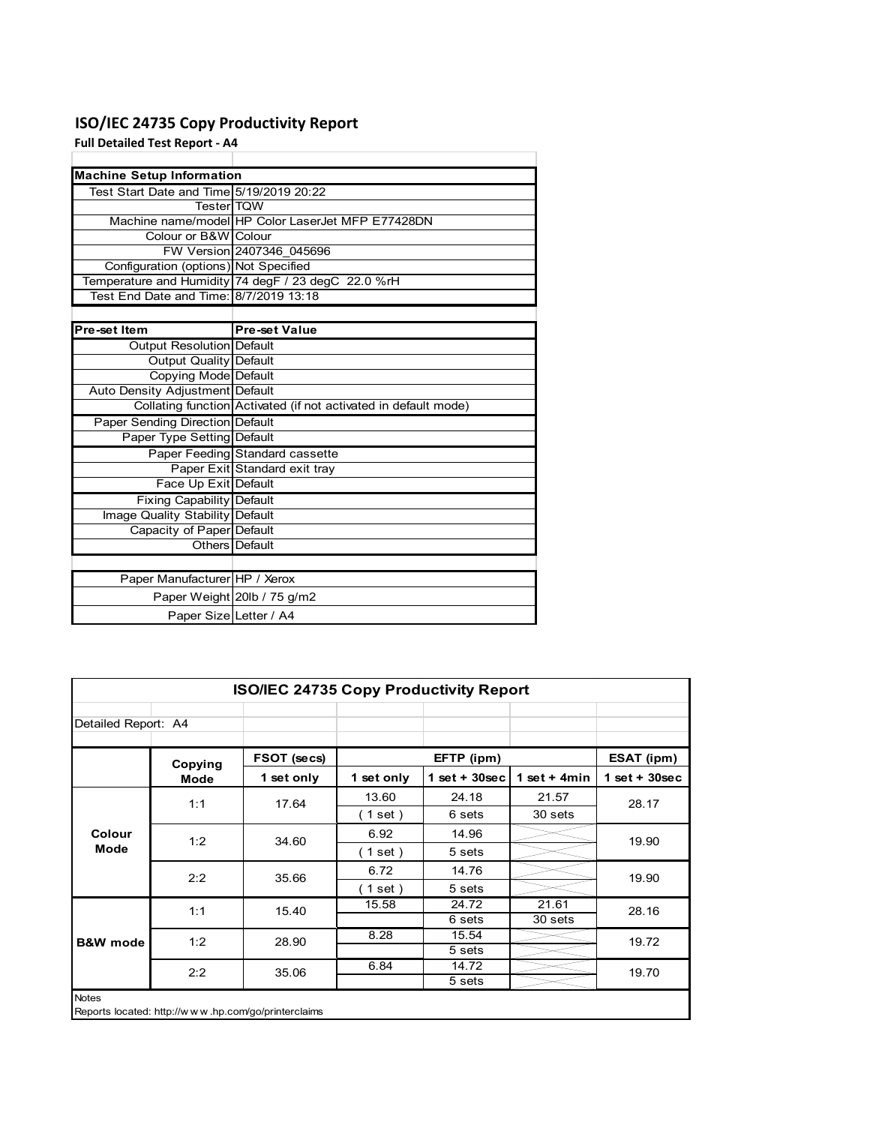### **ISO/IEC 24735 Copy Productivity Report**

**Full Detailed Test Report ‐ A4**

| <b>Machine Setup Information</b>         |                                                                 |
|------------------------------------------|-----------------------------------------------------------------|
| Test Start Date and Time 5/19/2019 20:22 |                                                                 |
| <b>TesterITQW</b>                        |                                                                 |
|                                          | Machine name/model HP Color LaserJet MFP E77428DN               |
| Colour or B&W Colour                     |                                                                 |
|                                          | FW Version 2407346 045696                                       |
| Configuration (options) Not Specified    |                                                                 |
|                                          | Temperature and Humidity 74 degF / 23 degC 22.0 %rH             |
| Test End Date and Time: 8/7/2019 13:18   |                                                                 |
|                                          |                                                                 |
| Pre-set Item                             | <b>Pre-set Value</b>                                            |
| Output Resolution Default                |                                                                 |
| <b>Output Quality Default</b>            |                                                                 |
| Copying Mode Default                     |                                                                 |
| Auto Density Adjustment Default          |                                                                 |
|                                          | Collating function Activated (if not activated in default mode) |
| Paper Sending Direction Default          |                                                                 |
| Paper Type Setting Default               |                                                                 |
|                                          | Paper Feeding Standard cassette                                 |
|                                          | Paper Exit Standard exit tray                                   |
| Face Up Exit Default                     |                                                                 |
| <b>Fixing Capability Default</b>         |                                                                 |
| Image Quality Stability Default          |                                                                 |
| Capacity of Paper Default                |                                                                 |
|                                          | Others Default                                                  |
|                                          |                                                                 |
| Paper Manufacturer HP / Xerox            |                                                                 |
|                                          | Paper Weight 20lb / 75 g/m2                                     |
| Paper Size Letter / A4                   |                                                                 |

| <b>ISO/IEC 24735 Copy Productivity Report</b> |         |                                                     |                          |                  |                 |                 |  |  |
|-----------------------------------------------|---------|-----------------------------------------------------|--------------------------|------------------|-----------------|-----------------|--|--|
| Detailed Report: A4                           |         |                                                     |                          |                  |                 |                 |  |  |
|                                               | Copying | FSOT (secs)                                         |                          | EFTP (ipm)       |                 | ESAT (ipm)      |  |  |
|                                               | Mode    | 1 set only                                          | 1 set only               | 1 set + $30$ sec | 1 set $+$ 4 min | $1$ set + 30sec |  |  |
|                                               | 1:1     | 17.64                                               | 13.60                    | 24.18            | 21.57           | 28.17           |  |  |
|                                               |         |                                                     | (1 set)                  | 6 sets           | 30 sets         |                 |  |  |
| Colour                                        | 1:2     | 34.60                                               | 6.92                     | 14.96            |                 | 19.90           |  |  |
| Mode                                          |         |                                                     | $\left( 1$ set $\right)$ | 5 sets           |                 |                 |  |  |
|                                               | 2:2     | 35.66                                               | 6.72                     | 14.76            |                 | 19.90           |  |  |
|                                               |         |                                                     | $1$ set)                 | 5 sets           |                 |                 |  |  |
|                                               | 1:1     | 15.40                                               | 15.58                    | 24.72            | 21.61           | 28.16           |  |  |
|                                               |         |                                                     |                          | 6 sets           | 30 sets         |                 |  |  |
| <b>B&amp;W</b> mode                           | 1:2     | 28.90                                               | 8.28                     | 15.54            |                 | 19.72           |  |  |
|                                               |         |                                                     |                          | 5 sets           |                 |                 |  |  |
|                                               | 2:2     | 35.06                                               | 6.84                     | 14.72            |                 | 19.70           |  |  |
|                                               |         |                                                     |                          | 5 sets           |                 |                 |  |  |
| <b>Notes</b>                                  |         | Reports located: http://www.hp.com/go/printerclaims |                          |                  |                 |                 |  |  |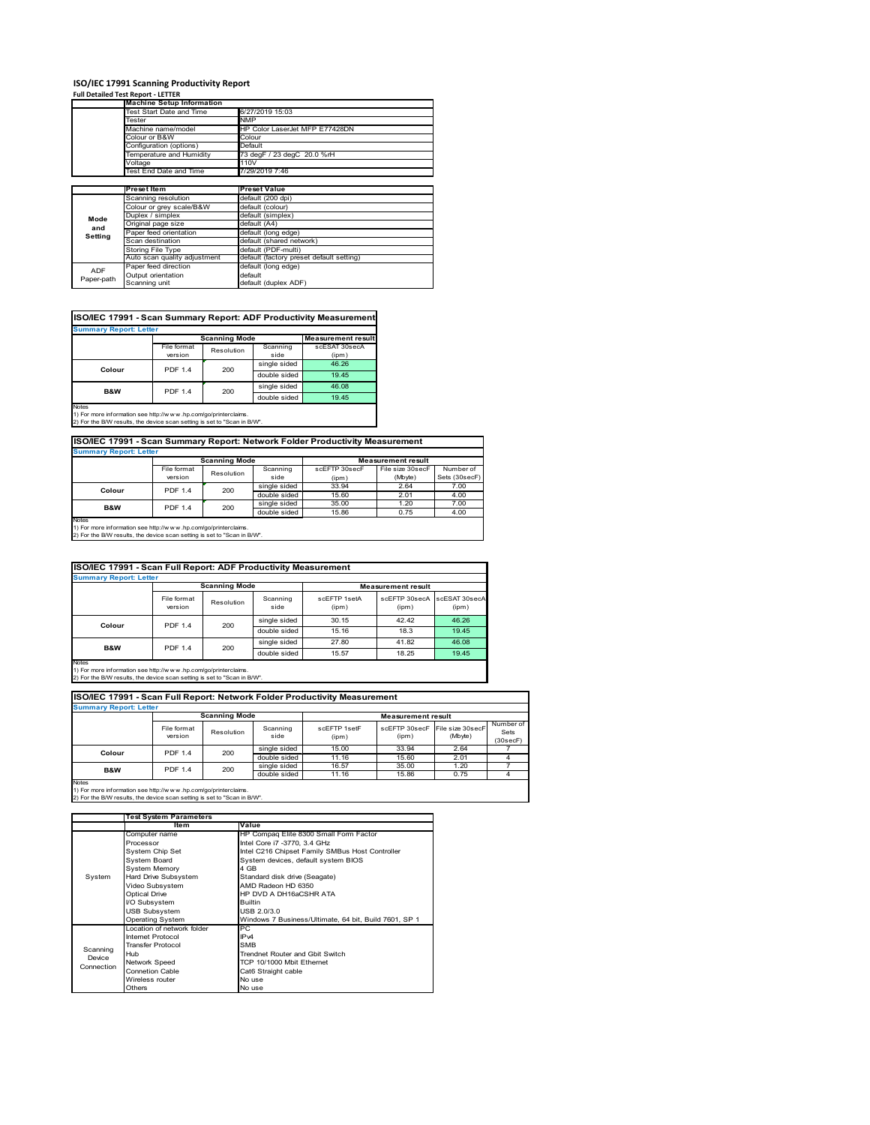## **ISO/IEC 17991 Scanning Productivity Report Full Detailed Test Report ‐ LETTER**

|            | <b>Machine Setup Information</b> |                                          |  |  |  |  |
|------------|----------------------------------|------------------------------------------|--|--|--|--|
|            | Test Start Date and Time         | 6/27/2019 15:03                          |  |  |  |  |
|            | Tester                           | <b>NMP</b>                               |  |  |  |  |
|            | Machine name/model               | HP Color LaserJet MFP E77428DN           |  |  |  |  |
|            | Colour or B&W                    | Colour                                   |  |  |  |  |
|            | Configuration (options)          | Default                                  |  |  |  |  |
|            | Temperature and Humidity         | 73 degF / 23 degC 20.0 %rH               |  |  |  |  |
|            | Voltage                          | 110V                                     |  |  |  |  |
|            | Test End Date and Time           | 7/29/2019 7:46                           |  |  |  |  |
|            |                                  |                                          |  |  |  |  |
|            | Preset Item                      | <b>Preset Value</b>                      |  |  |  |  |
|            | Scanning resolution              | default (200 dpi)                        |  |  |  |  |
|            | Colour or grey scale/B&W         | default (colour)                         |  |  |  |  |
| Mode       | Duplex / simplex                 | default (simplex)                        |  |  |  |  |
|            | Original page size               | default (A4)                             |  |  |  |  |
| and        | Paper feed orientation           | default (long edge)                      |  |  |  |  |
| Setting    | Scan destination                 | default (shared network)                 |  |  |  |  |
|            | <b>Storing File Type</b>         | default (PDF-multi)                      |  |  |  |  |
|            | Auto scan quality adjustment     | default (factory preset default setting) |  |  |  |  |
| <b>ADF</b> | Paper feed direction             | default (long edge)                      |  |  |  |  |
|            | Output orientation               | default                                  |  |  |  |  |
| Paper-path | Scanning unit                    | default (duplex ADF)                     |  |  |  |  |

| ISO/IEC 17991 - Scan Summary Report: ADF Productivity Measurement |                |                      |              |                           |  |  |  |  |  |
|-------------------------------------------------------------------|----------------|----------------------|--------------|---------------------------|--|--|--|--|--|
| <b>Summary Report: Letter</b>                                     |                |                      |              |                           |  |  |  |  |  |
|                                                                   |                | <b>Scanning Mode</b> |              | <b>Measurement result</b> |  |  |  |  |  |
|                                                                   | File format    | Resolution           | Scanning     | scESAT 30secA             |  |  |  |  |  |
|                                                                   | version        |                      | side         | (ipm)                     |  |  |  |  |  |
|                                                                   | <b>PDF 1.4</b> | 200                  | single sided | 46.26                     |  |  |  |  |  |
| Colour                                                            |                |                      | double sided | 19.45                     |  |  |  |  |  |
| B&W                                                               | <b>PDF 1.4</b> | 200                  | single sided | 46.08                     |  |  |  |  |  |
|                                                                   |                |                      | double sided | 19.45                     |  |  |  |  |  |
| <b>Notes</b>                                                      |                |                      |              |                           |  |  |  |  |  |

Notes 1) For more information see http://w w w .hp.com/go/printerclaims. 2) For the B/W results, the device scan setting is set to "Scan in B/W".

**ISO/IEC 17991 - Scan Summary Report: Network Folder Productivity Measurement**

| <b>Summary Report: Letter</b> |                      |            |              |                           |                  |               |
|-------------------------------|----------------------|------------|--------------|---------------------------|------------------|---------------|
|                               | <b>Scanning Mode</b> |            |              | <b>Measurement result</b> |                  |               |
|                               | File format          | Resolution | Scanning     | scEETP 30secE             | File size 30secF | Number of     |
|                               | version              |            | side         | (ipm)                     | (Mbyte)          | Sets (30secF) |
| Colour                        | <b>PDF 1.4</b>       | 200        | single sided | 33.94                     | 2.64             | 7.00          |
|                               |                      |            | double sided | 15.60                     | 2.01             | 4.00          |
| <b>B&amp;W</b>                | <b>PDF 1.4</b>       | 200        | single sided | 35.00                     | 1.20             | 7.00          |
|                               |                      |            | double sided | 15.86                     | 0.75             | 4.00          |
| <b>Notes</b>                  |                      |            |              |                           |                  |               |

┓

Notes 1) For more information see http://w w w .hp.com/go/printerclaims. 2) For the B/W results, the device scan setting is set to "Scan in B/W".

| ISO/IEC 17991 - Scan Full Report: ADF Productivity Measurement |                               |                       |                  |                       |                           |                        |  |  |  |
|----------------------------------------------------------------|-------------------------------|-----------------------|------------------|-----------------------|---------------------------|------------------------|--|--|--|
|                                                                | <b>Summary Report: Letter</b> |                       |                  |                       |                           |                        |  |  |  |
|                                                                |                               | <b>Scanning Mode</b>  |                  |                       | <b>Measurement result</b> |                        |  |  |  |
|                                                                | File format<br>version        | Resolution            | Scanning<br>side | scFFTP 1setA<br>(ipm) | scEFTP 30secA<br>(ipm)    | scESAT 30secA<br>(ipm) |  |  |  |
| Colour                                                         |                               | <b>PDF 1.4</b><br>200 | single sided     | 30.15                 | 42.42                     | 46.26                  |  |  |  |
|                                                                |                               |                       | double sided     | 15.16                 | 18.3                      | 19.45                  |  |  |  |
| <b>B&amp;W</b>                                                 | <b>PDF 1.4</b>                | 200                   | single sided     | 27.80                 | 41.82                     | 46.08                  |  |  |  |
|                                                                |                               |                       | double sided     | 15.57                 | 18.25                     | 19.45                  |  |  |  |
| <b>Notes</b>                                                   |                               |                       |                  |                       |                           |                        |  |  |  |

Notes 1) For more information see http://w w w .hp.com/go/printerclaims. 2) For the B/W results, the device scan setting is set to "Scan in B/W".

| ISO/IEC 17991 - Scan Full Report: Network Folder Productivity Measurement |                        |                      |                  |                           |                        |                             |                               |  |  |  |
|---------------------------------------------------------------------------|------------------------|----------------------|------------------|---------------------------|------------------------|-----------------------------|-------------------------------|--|--|--|
| <b>Summary Report: Letter</b>                                             |                        |                      |                  |                           |                        |                             |                               |  |  |  |
|                                                                           |                        | <b>Scanning Mode</b> |                  | <b>Measurement result</b> |                        |                             |                               |  |  |  |
|                                                                           | File format<br>version | Resolution           | Scanning<br>side | scFFTP 1setF<br>(ipm)     | scEFTP 30secF<br>(ipm) | File size 30secF<br>(Mbyte) | Number of<br>Sets<br>(30secF) |  |  |  |
| Colour                                                                    | <b>PDF 1.4</b>         | 200                  | single sided     | 15.00                     | 33.94                  | 2.64                        |                               |  |  |  |
|                                                                           |                        |                      | double sided     | 11.16                     | 15.60                  | 2.01                        |                               |  |  |  |
| <b>B&amp;W</b>                                                            | <b>PDF 1.4</b>         | 200                  | single sided     | 16.57                     | 35.00                  | 1.20                        |                               |  |  |  |
|                                                                           |                        |                      | double sided     | 11.16                     | 15.86                  | 0.75                        |                               |  |  |  |
| <b>Notes</b>                                                              |                        |                      |                  |                           |                        |                             |                               |  |  |  |

|            | <b>Test System Parameters</b> |                                                       |  |  |  |
|------------|-------------------------------|-------------------------------------------------------|--|--|--|
|            | Item                          | Value                                                 |  |  |  |
|            | Computer name                 | HP Compaq Elite 8300 Small Form Factor                |  |  |  |
|            | Processor                     | Intel Core i7 -3770, 3.4 GHz                          |  |  |  |
|            | System Chip Set               | Intel C216 Chipset Family SMBus Host Controller       |  |  |  |
|            | <b>System Board</b>           | System devices, default system BIOS                   |  |  |  |
|            | <b>System Memory</b>          | 4 GB                                                  |  |  |  |
| System     | Hard Drive Subsystem          | Standard disk drive (Seagate)                         |  |  |  |
|            | Video Subsystem               | AMD Radeon HD 6350                                    |  |  |  |
|            | <b>Optical Drive</b>          | HP DVD A DH16aCSHR ATA                                |  |  |  |
|            | I/O Subsystem                 | <b>Builtin</b>                                        |  |  |  |
|            | <b>USB Subsystem</b>          | USB 2.0/3.0                                           |  |  |  |
|            | <b>Operating System</b>       | Windows 7 Business/Ultimate, 64 bit, Build 7601, SP 1 |  |  |  |
|            | I ocation of network folder   | PC.                                                   |  |  |  |
|            | Internet Protocol             | IP <sub>v4</sub>                                      |  |  |  |
| Scanning   | <b>Transfer Protocol</b>      | <b>SMB</b>                                            |  |  |  |
| Device     | Hub                           | Trendnet Router and Gbit Switch                       |  |  |  |
| Connection | Network Speed                 | TCP 10/1000 Mbit Ethernet                             |  |  |  |
|            | <b>Connetion Cable</b>        | Cat6 Straight cable                                   |  |  |  |
|            | Wireless router               | No use                                                |  |  |  |
|            | Others                        | No use                                                |  |  |  |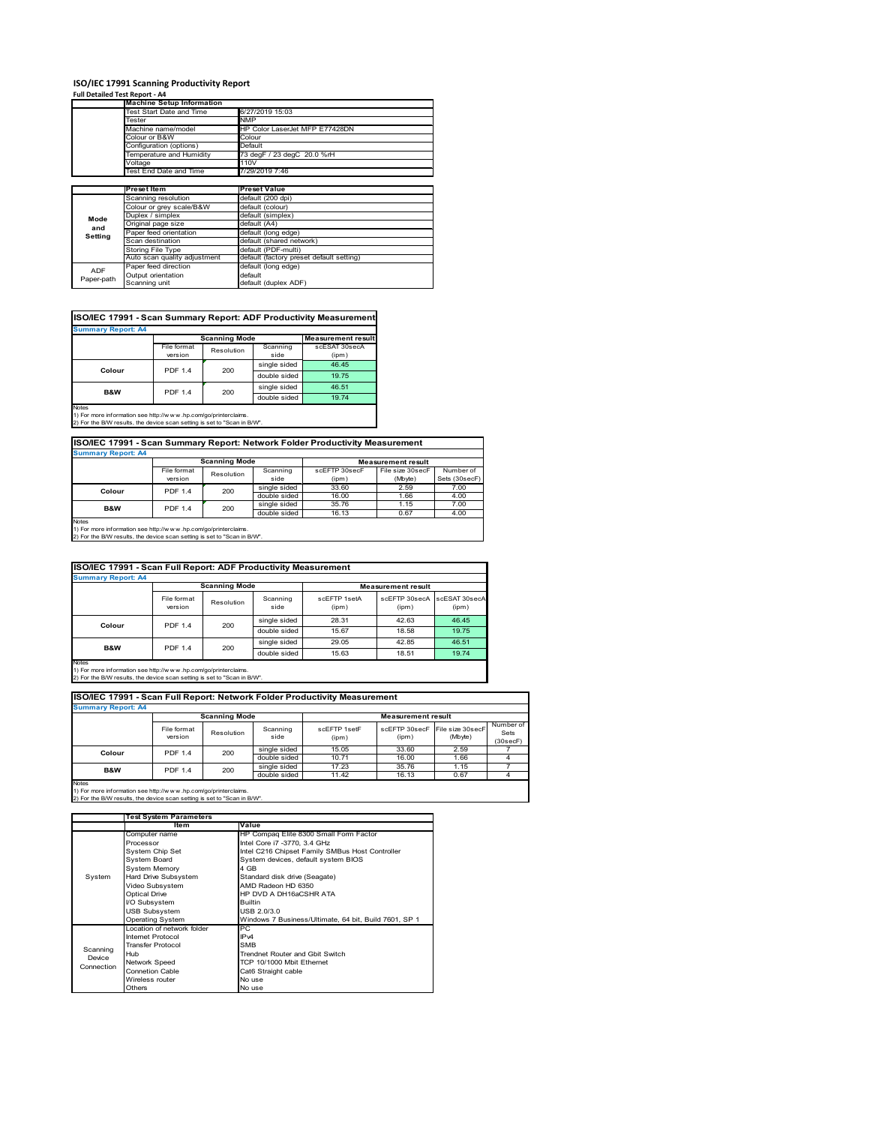#### **ISO/IEC 17991 Scanning Productivity Report**

**Full Detailed Test Report ‐ A4**

|            | <b>Machine Setup Information</b> |                                          |
|------------|----------------------------------|------------------------------------------|
|            | Test Start Date and Time         | 6/27/2019 15:03                          |
|            | Tester                           | <b>NMP</b>                               |
|            | Machine name/model               | HP Color LaserJet MFP E77428DN           |
|            | Colour or B&W                    | Colour                                   |
|            | Configuration (options)          | Default                                  |
|            | Temperature and Humidity         | 73 degF / 23 degC 20.0 %rH               |
|            | Voltage                          | 110V                                     |
|            | Test End Date and Time           | 7/29/2019 7:46                           |
|            |                                  |                                          |
|            | <b>Preset Item</b>               | Preset Value                             |
|            | Scanning resolution              | default (200 dpi)                        |
|            | Colour or grey scale/B&W         | default (colour)                         |
| Mode       | Duplex / simplex                 | default (simplex)                        |
| and        | Original page size               | default (A4)                             |
| Setting    | Paper feed orientation           | default (long edge)                      |
|            | Scan destination                 | default (shared network)                 |
|            | Storing File Type                | default (PDF-multi)                      |
|            | Auto scan quality adjustment     | default (factory preset default setting) |
| <b>ADF</b> | Paper feed direction             | default (long edge)                      |
|            | Output orientation               | default                                  |
| Paper-path | Scanning unit                    |                                          |

| ISO/IEC 17991 - Scan Summary Report: ADF Productivity Measurement |                |                      |              |                           |  |  |  |  |  |
|-------------------------------------------------------------------|----------------|----------------------|--------------|---------------------------|--|--|--|--|--|
| <b>Summary Report: A4</b>                                         |                |                      |              |                           |  |  |  |  |  |
|                                                                   |                | <b>Scanning Mode</b> |              | <b>Measurement result</b> |  |  |  |  |  |
|                                                                   | File format    | Resolution           | Scanning     | scESAT 30secA             |  |  |  |  |  |
|                                                                   | version        |                      | side         | (ipm)                     |  |  |  |  |  |
| Colour                                                            | <b>PDF 1.4</b> | 200                  | single sided | 46.45                     |  |  |  |  |  |
|                                                                   |                |                      | double sided | 19.75                     |  |  |  |  |  |
| <b>B&amp;W</b>                                                    | <b>PDF 1.4</b> | 200                  | single sided | 46.51                     |  |  |  |  |  |
|                                                                   |                |                      | double sided | 19.74                     |  |  |  |  |  |
| <b>Notes</b>                                                      |                |                      |              |                           |  |  |  |  |  |

Notes 1) For more information see http://w w w .hp.com/go/printerclaims. 2) For the B/W results, the device scan setting is set to "Scan in B/W".

| ISO/IEC 17991 - Scan Summary Report: Network Folder Productivity Measurement<br><b>Summary Report: A4</b> |                |            |              |               |                  |               |  |  |
|-----------------------------------------------------------------------------------------------------------|----------------|------------|--------------|---------------|------------------|---------------|--|--|
|                                                                                                           |                |            |              |               |                  |               |  |  |
|                                                                                                           | File format    | Resolution | Scanning     | scEFTP 30secF | File size 30secF | Number of     |  |  |
|                                                                                                           | version        |            | side         | (ipm)         | (Mbyte)          | Sets (30secF) |  |  |
| Colour                                                                                                    | <b>PDF 1.4</b> | 200        | single sided | 33.60         | 2.59             | 7.00          |  |  |
|                                                                                                           |                |            | double sided | 16.00         | 1.66             | 4.00          |  |  |
| <b>B&amp;W</b>                                                                                            | <b>PDF 1.4</b> | 200        | single sided | 35.76         | 1.15             | 7.00          |  |  |
|                                                                                                           |                |            | double sided | 16.13         | 0.67             | 4.00          |  |  |

Notes 1) For more information see http://w w w .hp.com/go/printerclaims. 2) For the B/W results, the device scan setting is set to "Scan in B/W".

| ISO/IEC 17991 - Scan Full Report: ADF Productivity Measurement |                        |                      |                  |                       |                                      |       |  |  |  |
|----------------------------------------------------------------|------------------------|----------------------|------------------|-----------------------|--------------------------------------|-------|--|--|--|
| <b>Summary Report: A4</b>                                      |                        |                      |                  |                       |                                      |       |  |  |  |
|                                                                |                        | <b>Scanning Mode</b> |                  |                       | <b>Measurement result</b>            |       |  |  |  |
|                                                                | File format<br>version | Resolution           | Scanning<br>side | scFFTP 1setA<br>(ipm) | scEETP 30secA scESAT 30secA<br>(ipm) | (ipm) |  |  |  |
|                                                                | <b>PDF 1.4</b>         | 200                  | single sided     | 28.31                 | 42.63                                | 46.45 |  |  |  |
| Colour                                                         |                        |                      | double sided     | 15.67                 | 18.58                                | 19.75 |  |  |  |
| <b>B&amp;W</b>                                                 | <b>PDF 1.4</b>         | 200                  | single sided     | 29.05                 | 42.85                                | 46.51 |  |  |  |
|                                                                |                        |                      | double sided     | 15.63                 | 18.51                                | 19.74 |  |  |  |
| <b>Notes</b>                                                   |                        |                      |                  |                       |                                      |       |  |  |  |

Notes 1) For more information see http://w w w .hp.com/go/printerclaims. 2) For the B/W results, the device scan setting is set to "Scan in B/W".

| ISO/IEC 17991 - Scan Full Report: Network Folder Productivity Measurement |                        |            |                  |                           |       |                                           |                               |  |  |  |
|---------------------------------------------------------------------------|------------------------|------------|------------------|---------------------------|-------|-------------------------------------------|-------------------------------|--|--|--|
| <b>Summary Report: A4</b>                                                 |                        |            |                  |                           |       |                                           |                               |  |  |  |
| <b>Scanning Mode</b>                                                      |                        |            |                  | <b>Measurement result</b> |       |                                           |                               |  |  |  |
|                                                                           | File format<br>version | Resolution | Scanning<br>side | scFFTP 1setF<br>(ipm)     | (ipm) | scEFTP 30secF File size 30secF<br>(Mbyte) | Number of<br>Sets<br>(30secF) |  |  |  |
| Colour                                                                    | <b>PDF 1.4</b>         | 200        | single sided     | 15.05                     | 33.60 | 2.59                                      |                               |  |  |  |
|                                                                           |                        |            | double sided     | 10.71                     | 16.00 | 1.66                                      |                               |  |  |  |
| <b>B&amp;W</b>                                                            | <b>PDF 1.4</b>         | 200        | single sided     | 17.23                     | 35.76 | 1.15                                      |                               |  |  |  |
|                                                                           |                        |            | double sided     | 11.42                     | 16.13 | 0.67                                      |                               |  |  |  |
| <b>Notes</b>                                                              |                        |            |                  |                           |       |                                           |                               |  |  |  |

|            | <b>Test System Parameters</b> |                                                       |  |  |
|------------|-------------------------------|-------------------------------------------------------|--|--|
|            | Item                          | Value                                                 |  |  |
|            | Computer name                 | HP Compaq Elite 8300 Small Form Factor                |  |  |
|            | Processor                     | Intel Core i7 -3770, 3.4 GHz                          |  |  |
|            | System Chip Set               | Intel C216 Chipset Family SMBus Host Controller       |  |  |
|            | System Board                  | System devices, default system BIOS                   |  |  |
|            | <b>System Memory</b>          | 4 GB                                                  |  |  |
| System     | Hard Drive Subsystem          | Standard disk drive (Seagate)                         |  |  |
|            | Video Subsystem               | AMD Radeon HD 6350                                    |  |  |
|            | Optical Drive                 | HP DVD A DH16aCSHR ATA                                |  |  |
|            | I/O Subsystem                 | <b>Builtin</b>                                        |  |  |
|            | <b>USB Subsystem</b>          | USB 2.0/3.0                                           |  |  |
|            | <b>Operating System</b>       | Windows 7 Business/Ultimate, 64 bit, Build 7601, SP 1 |  |  |
|            | I ocation of network folder   | PC.                                                   |  |  |
|            | Internet Protocol             | IP <sub>v4</sub>                                      |  |  |
| Scanning   | <b>Transfer Protocol</b>      | <b>SMB</b>                                            |  |  |
| Device     | Hub                           | Trendnet Router and Gbit Switch                       |  |  |
| Connection | Network Speed                 | TCP 10/1000 Mbit Ethernet                             |  |  |
|            | Connetion Cable               | Cat6 Straight cable                                   |  |  |
|            | Wireless router               | No use                                                |  |  |
|            | Others                        | No use                                                |  |  |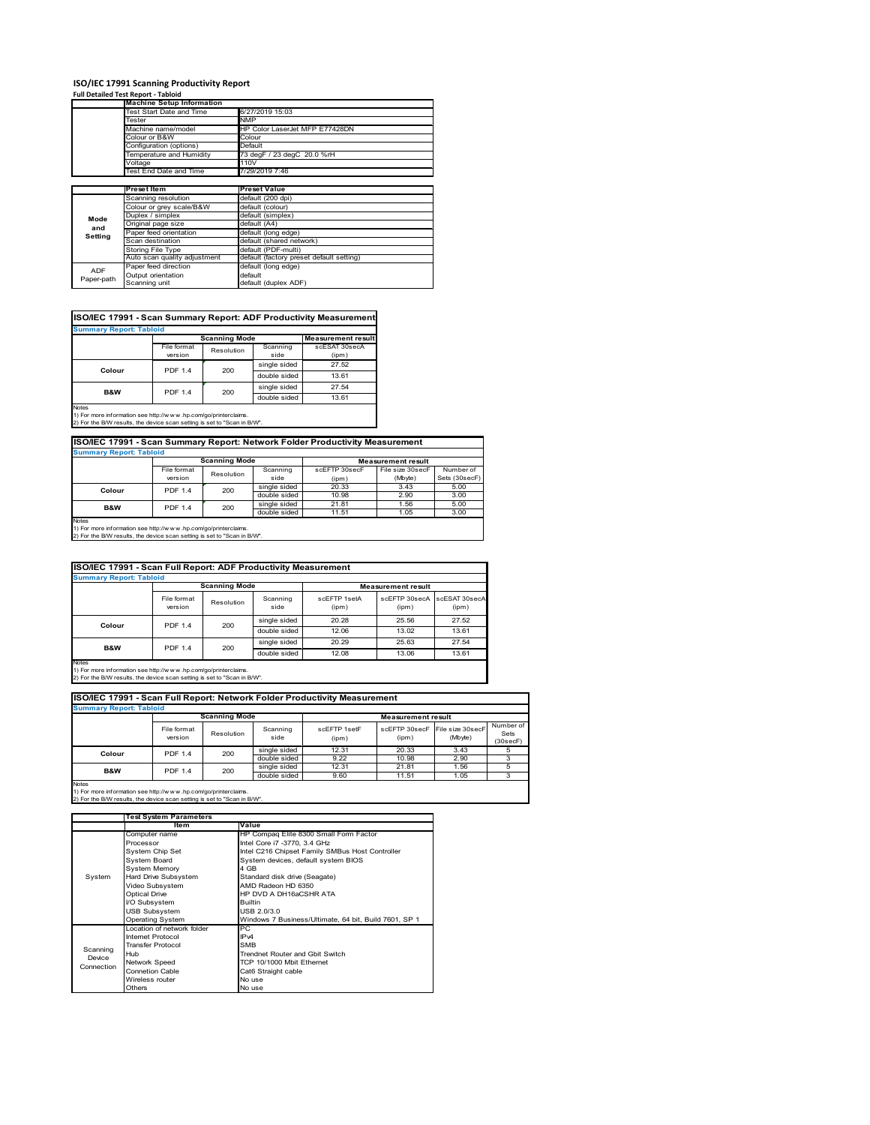# **ISO/IEC 17991 Scanning Productivity Report Full Detailed Test Report ‐ Tabloid Machine Setup Information**

|            | <b>Machine Setup Information</b> |                                          |  |  |  |  |
|------------|----------------------------------|------------------------------------------|--|--|--|--|
|            | Test Start Date and Time         | 6/27/2019 15:03                          |  |  |  |  |
|            | Tester                           | <b>NMP</b>                               |  |  |  |  |
|            | Machine name/model               | HP Color LaserJet MFP E77428DN           |  |  |  |  |
|            | Colour or B&W                    | Colour                                   |  |  |  |  |
|            | Configuration (options)          | Default                                  |  |  |  |  |
|            | Temperature and Humidity         | 73 degF / 23 degC 20.0 %rH               |  |  |  |  |
|            | Voltage                          | 110V                                     |  |  |  |  |
|            | Test End Date and Time           | 7/29/2019 7:46                           |  |  |  |  |
|            |                                  |                                          |  |  |  |  |
|            | Preset Item                      | <b>Preset Value</b>                      |  |  |  |  |
|            | Scanning resolution              | default (200 dpi)                        |  |  |  |  |
|            | Colour or grey scale/B&W         | default (colour)                         |  |  |  |  |
| Mode       | Duplex / simplex                 | default (simplex)                        |  |  |  |  |
|            | Original page size               | default (A4)                             |  |  |  |  |
| and        | Paper feed orientation           | default (long edge)                      |  |  |  |  |
| Setting    | Scan destination                 | default (shared network)                 |  |  |  |  |
|            | <b>Storing File Type</b>         | default (PDF-multi)                      |  |  |  |  |
|            | Auto scan quality adjustment     | default (factory preset default setting) |  |  |  |  |
| <b>ADF</b> | Paper feed direction             | default (long edge)                      |  |  |  |  |
|            | Output orientation               | default                                  |  |  |  |  |
| Paper-path | Scanning unit                    | default (duplex ADF)                     |  |  |  |  |

| <b>Summary Report: Tabloid</b> |                |                      |              |                           |
|--------------------------------|----------------|----------------------|--------------|---------------------------|
|                                |                | <b>Scanning Mode</b> |              | <b>Measurement result</b> |
|                                | File format    | Resolution           | Scanning     | scESAT 30secA             |
|                                | version        |                      | side         | (ipm)                     |
| Colour                         | <b>PDF 1.4</b> | 200                  | single sided | 27.52                     |
|                                |                |                      | double sided | 13.61                     |
| <b>B&amp;W</b>                 | <b>PDF 1.4</b> | 200                  | single sided | 27.54                     |
|                                |                |                      | double sided | 13.61                     |

1) For more information see http://w w w .hp.com/go/printerclaims. 2) For the B/W results, the device scan setting is set to "Scan in B/W".

| ISO/IEC 17991 - Scan Summary Report: Network Folder Productivity Measurement |                |            |              |                           |                  |               |  |  |
|------------------------------------------------------------------------------|----------------|------------|--------------|---------------------------|------------------|---------------|--|--|
| <b>Summary Report: Tabloid</b>                                               |                |            |              |                           |                  |               |  |  |
| <b>Scanning Mode</b>                                                         |                |            |              | <b>Measurement result</b> |                  |               |  |  |
|                                                                              | File format    | Resolution | Scanning     | scEFTP 30secF             | File size 30secF | Number of     |  |  |
|                                                                              | version        |            | side         | (ipm)                     | (Mbyte)          | Sets (30secF) |  |  |
| Colour                                                                       | <b>PDF 1.4</b> | 200        | single sided | 20.33                     | 3.43             | 5.00          |  |  |
|                                                                              |                |            | double sided | 10.98                     | 2.90             | 3.00          |  |  |
| <b>B&amp;W</b>                                                               | <b>PDF 1.4</b> | 200        | single sided | 21.81                     | 1.56             | 5.00          |  |  |
|                                                                              |                |            | double sided | 11.51                     | 1.05             | 3.00          |  |  |
| Notee                                                                        |                |            |              |                           |                  |               |  |  |

Notes 1) For more information see http://w w w .hp.com/go/printerclaims. 2) For the B/W results, the device scan setting is set to "Scan in B/W".

| ISO/IEC 17991 - Scan Full Report: ADF Productivity Measurement                                                                                                 |                        |                      |                  |                       |                           |                        |  |  |  |
|----------------------------------------------------------------------------------------------------------------------------------------------------------------|------------------------|----------------------|------------------|-----------------------|---------------------------|------------------------|--|--|--|
| <b>Summary Report: Tabloid</b>                                                                                                                                 |                        |                      |                  |                       |                           |                        |  |  |  |
|                                                                                                                                                                |                        | <b>Scanning Mode</b> |                  |                       | <b>Measurement result</b> |                        |  |  |  |
|                                                                                                                                                                | File format<br>version | Resolution           | Scanning<br>side | scFFTP 1setA<br>(ipm) | scEETP 30secA<br>(ipm)    | scESAT 30secA<br>(ipm) |  |  |  |
| Colour                                                                                                                                                         | <b>PDF 1.4</b>         | 200                  | single sided     | 20.28                 | 25.56                     | 27.52                  |  |  |  |
|                                                                                                                                                                |                        |                      | double sided     | 12.06                 | 13.02                     | 13.61                  |  |  |  |
| B&W                                                                                                                                                            | <b>PDF 1.4</b>         | 200                  | single sided     | 20.29                 | 25.63                     | 27.54                  |  |  |  |
|                                                                                                                                                                |                        |                      | double sided     | 12.08                 | 13.06                     | 13.61                  |  |  |  |
| <b>Notes</b><br>1) For more information see http://w w w .hp.com/go/printerclaims.<br>2) For the B/W results, the device scan setting is set to "Scan in B/W". |                        |                      |                  |                       |                           |                        |  |  |  |

| ISO/IEC 17991 - Scan Full Report: Network Folder Productivity Measurement<br><b>Summary Report: Tabloid</b> |                        |                      |                  |                       |                           |                             |                               |
|-------------------------------------------------------------------------------------------------------------|------------------------|----------------------|------------------|-----------------------|---------------------------|-----------------------------|-------------------------------|
|                                                                                                             |                        | <b>Scanning Mode</b> |                  |                       | <b>Measurement result</b> |                             |                               |
|                                                                                                             | File format<br>version | Resolution           | Scanning<br>side | scEFTP 1setF<br>(ipm) | scEFTP 30secF<br>(ipm)    | File size 30secF<br>(Mbyte) | Number of<br>Sets<br>(30secF) |
| Colour                                                                                                      | <b>PDF 1.4</b>         | 200                  | single sided     | 12.31                 | 20.33                     | 3.43                        |                               |
|                                                                                                             |                        |                      | double sided     | 9.22                  | 10.98                     | 2.90                        |                               |
| <b>B&amp;W</b>                                                                                              | <b>PDF 1.4</b>         | 200                  | single sided     | 12.31                 | 21.81                     | 1.56                        |                               |
|                                                                                                             |                        |                      | double sided     | 9.60                  | 11.51                     | 1.05                        |                               |
| <b>Notes</b>                                                                                                |                        |                      |                  |                       |                           |                             |                               |

|            | Test System Parameters     |                                                       |  |  |  |
|------------|----------------------------|-------------------------------------------------------|--|--|--|
|            | Item                       | Value                                                 |  |  |  |
|            | Computer name              | HP Compaq Elite 8300 Small Form Factor                |  |  |  |
|            | Processor                  | Intel Core i7 -3770, 3.4 GHz                          |  |  |  |
|            | System Chip Set            | Intel C216 Chipset Family SMBus Host Controller       |  |  |  |
|            | System Board               | System devices, default system BIOS                   |  |  |  |
|            | <b>System Memory</b>       | 4 GB                                                  |  |  |  |
| System     | Hard Drive Subsystem       | Standard disk drive (Seagate)                         |  |  |  |
|            | Video Subsystem            | AMD Radeon HD 6350                                    |  |  |  |
|            | Optical Drive              | HP DVD A DH16aCSHR ATA                                |  |  |  |
|            | I/O Subsystem              | <b>Builtin</b>                                        |  |  |  |
|            | <b>USB Subsystem</b>       | USB 2.0/3.0                                           |  |  |  |
|            | <b>Operating System</b>    | Windows 7 Business/Ultimate, 64 bit, Build 7601, SP 1 |  |  |  |
|            | Location of network folder | PC.                                                   |  |  |  |
|            | Internet Protocol          | IP <sub>v4</sub>                                      |  |  |  |
| Scanning   | <b>Transfer Protocol</b>   | <b>SMB</b>                                            |  |  |  |
| Device     | Hub                        | Trendnet Router and Gbit Switch                       |  |  |  |
| Connection | Network Speed              | TCP 10/1000 Mbit Ethernet                             |  |  |  |
|            | <b>Connetion Cable</b>     | Cat6 Straight cable                                   |  |  |  |
|            | Wireless router            | No use                                                |  |  |  |
|            | Others                     | No use                                                |  |  |  |